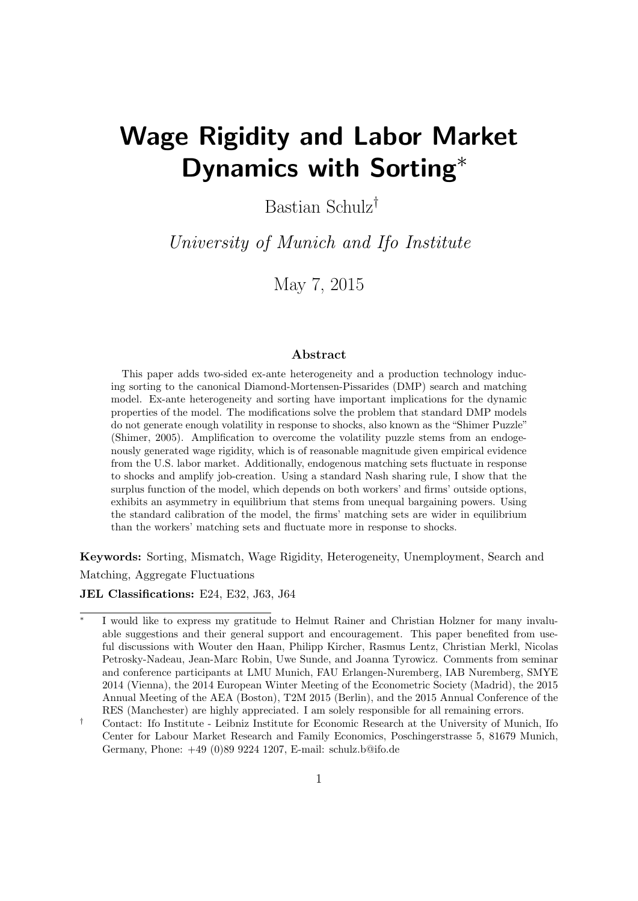# Wage Rigidity and Labor Market Dynamics with Sorting<sup>\*</sup>

Bastian Schulz†

University of Munich and Ifo Institute

May 7, 2015

#### Abstract

This paper adds two-sided ex-ante heterogeneity and a production technology inducing sorting to the canonical Diamond-Mortensen-Pissarides (DMP) search and matching model. Ex-ante heterogeneity and sorting have important implications for the dynamic properties of the model. The modifications solve the problem that standard DMP models do not generate enough volatility in response to shocks, also known as the "Shimer Puzzle" (Shimer, 2005). Amplification to overcome the volatility puzzle stems from an endogenously generated wage rigidity, which is of reasonable magnitude given empirical evidence from the U.S. labor market. Additionally, endogenous matching sets fluctuate in response to shocks and amplify job-creation. Using a standard Nash sharing rule, I show that the surplus function of the model, which depends on both workers' and firms' outside options, exhibits an asymmetry in equilibrium that stems from unequal bargaining powers. Using the standard calibration of the model, the firms' matching sets are wider in equilibrium than the workers' matching sets and fluctuate more in response to shocks.

Keywords: Sorting, Mismatch, Wage Rigidity, Heterogeneity, Unemployment, Search and Matching, Aggregate Fluctuations

JEL Classifications: E24, E32, J63, J64

<sup>∗</sup> I would like to express my gratitude to Helmut Rainer and Christian Holzner for many invaluable suggestions and their general support and encouragement. This paper benefited from useful discussions with Wouter den Haan, Philipp Kircher, Rasmus Lentz, Christian Merkl, Nicolas Petrosky-Nadeau, Jean-Marc Robin, Uwe Sunde, and Joanna Tyrowicz. Comments from seminar and conference participants at LMU Munich, FAU Erlangen-Nuremberg, IAB Nuremberg, SMYE 2014 (Vienna), the 2014 European Winter Meeting of the Econometric Society (Madrid), the 2015 Annual Meeting of the AEA (Boston), T2M 2015 (Berlin), and the 2015 Annual Conference of the RES (Manchester) are highly appreciated. I am solely responsible for all remaining errors.

<sup>†</sup> Contact: Ifo Institute - Leibniz Institute for Economic Research at the University of Munich, Ifo Center for Labour Market Research and Family Economics, Poschingerstrasse 5, 81679 Munich, Germany, Phone: +49 (0)89 9224 1207, E-mail: [schulz.b@ifo.de](mailto:schulz.b@ifo.de)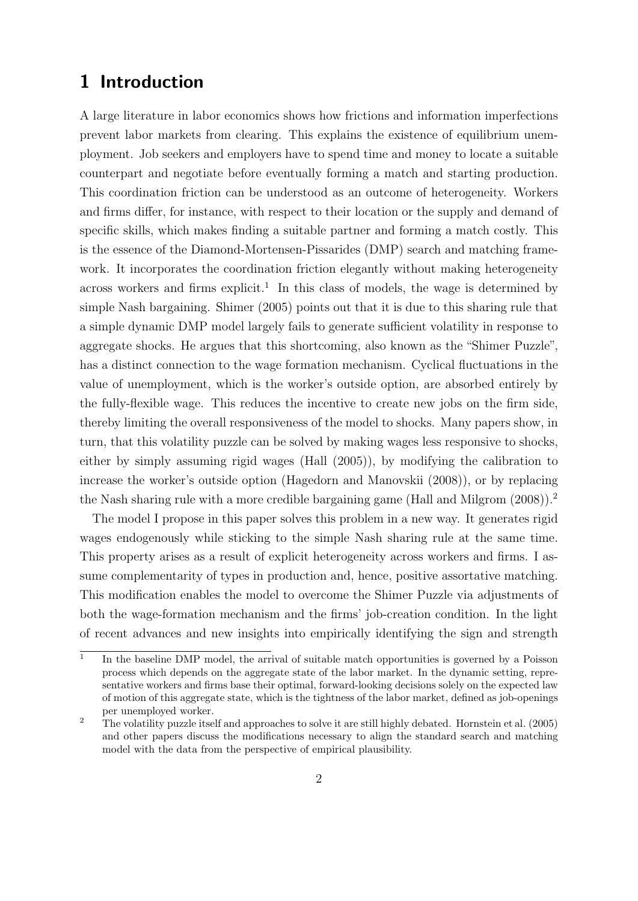# <span id="page-1-2"></span>1 Introduction

A large literature in labor economics shows how frictions and information imperfections prevent labor markets from clearing. This explains the existence of equilibrium unemployment. Job seekers and employers have to spend time and money to locate a suitable counterpart and negotiate before eventually forming a match and starting production. This coordination friction can be understood as an outcome of heterogeneity. Workers and firms differ, for instance, with respect to their location or the supply and demand of specific skills, which makes finding a suitable partner and forming a match costly. This is the essence of the Diamond-Mortensen-Pissarides (DMP) search and matching framework. It incorporates the coordination friction elegantly without making heterogeneity across workers and firms explicit.<sup>[1](#page-1-0)</sup> In this class of models, the wage is determined by simple Nash bargaining. [Shimer](#page-42-0) [\(2005\)](#page-42-0) points out that it is due to this sharing rule that a simple dynamic DMP model largely fails to generate sufficient volatility in response to aggregate shocks. He argues that this shortcoming, also known as the "Shimer Puzzle", has a distinct connection to the wage formation mechanism. Cyclical fluctuations in the value of unemployment, which is the worker's outside option, are absorbed entirely by the fully-flexible wage. This reduces the incentive to create new jobs on the firm side, thereby limiting the overall responsiveness of the model to shocks. Many papers show, in turn, that this volatility puzzle can be solved by making wages less responsive to shocks, either by simply assuming rigid wages [\(Hall](#page-40-0) [\(2005\)](#page-40-0)), by modifying the calibration to increase the worker's outside option [\(Hagedorn and Manovskii](#page-40-1) [\(2008\)](#page-40-1)), or by replacing the Nash sharing rule with a more credible bargaining game [\(Hall and Milgrom](#page-40-2) [\(2008\)](#page-40-2)).[2](#page-1-1)

The model I propose in this paper solves this problem in a new way. It generates rigid wages endogenously while sticking to the simple Nash sharing rule at the same time. This property arises as a result of explicit heterogeneity across workers and firms. I assume complementarity of types in production and, hence, positive assortative matching. This modification enables the model to overcome the Shimer Puzzle via adjustments of both the wage-formation mechanism and the firms' job-creation condition. In the light of recent advances and new insights into empirically identifying the sign and strength

<span id="page-1-0"></span><sup>1</sup> In the baseline DMP model, the arrival of suitable match opportunities is governed by a Poisson process which depends on the aggregate state of the labor market. In the dynamic setting, representative workers and firms base their optimal, forward-looking decisions solely on the expected law of motion of this aggregate state, which is the tightness of the labor market, defined as job-openings per unemployed worker.

<span id="page-1-1"></span><sup>&</sup>lt;sup>2</sup> The volatility puzzle itself and approaches to solve it are still highly debated. [Hornstein et al.](#page-40-3)  $(2005)$ and other papers discuss the modifications necessary to align the standard search and matching model with the data from the perspective of empirical plausibility.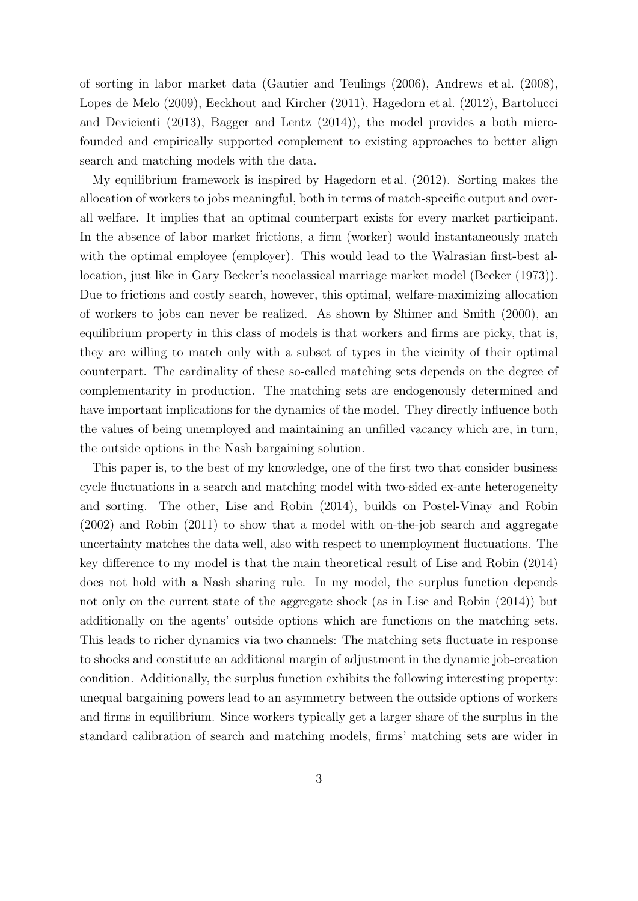of sorting in labor market data [\(Gautier and Teulings](#page-39-0) [\(2006\)](#page-39-0), [Andrews et al.](#page-38-0) [\(2008\)](#page-38-0), [Lopes de Melo](#page-41-0) [\(2009\)](#page-41-0), [Eeckhout and Kircher](#page-39-1) [\(2011\)](#page-39-1), [Hagedorn et al.](#page-40-4) [\(2012\)](#page-40-4), [Bartolucci](#page-38-1) [and Devicienti](#page-38-1) [\(2013\)](#page-38-1), [Bagger and Lentz](#page-38-2) [\(2014\)](#page-38-2)), the model provides a both microfounded and empirically supported complement to existing approaches to better align search and matching models with the data.

My equilibrium framework is inspired by [Hagedorn et al.](#page-40-4) [\(2012\)](#page-40-4). Sorting makes the allocation of workers to jobs meaningful, both in terms of match-specific output and overall welfare. It implies that an optimal counterpart exists for every market participant. In the absence of labor market frictions, a firm (worker) would instantaneously match with the optimal employee (employer). This would lead to the Walrasian first-best allocation, just like in Gary Becker's neoclassical marriage market model [\(Becker](#page-38-3) [\(1973\)](#page-38-3)). Due to frictions and costly search, however, this optimal, welfare-maximizing allocation of workers to jobs can never be realized. As shown by [Shimer and Smith](#page-42-1) [\(2000\)](#page-42-1), an equilibrium property in this class of models is that workers and firms are picky, that is, they are willing to match only with a subset of types in the vicinity of their optimal counterpart. The cardinality of these so-called matching sets depends on the degree of complementarity in production. The matching sets are endogenously determined and have important implications for the dynamics of the model. They directly influence both the values of being unemployed and maintaining an unfilled vacancy which are, in turn, the outside options in the Nash bargaining solution.

This paper is, to the best of my knowledge, one of the first two that consider business cycle fluctuations in a search and matching model with two-sided ex-ante heterogeneity and sorting. The other, [Lise and Robin](#page-41-1) [\(2014\)](#page-41-1), builds on [Postel-Vinay and Robin](#page-41-2) [\(2002\)](#page-41-2) and [Robin](#page-42-2) [\(2011\)](#page-42-2) to show that a model with on-the-job search and aggregate uncertainty matches the data well, also with respect to unemployment fluctuations. The key difference to my model is that the main theoretical result of [Lise and Robin](#page-41-1) [\(2014\)](#page-41-1) does not hold with a Nash sharing rule. In my model, the surplus function depends not only on the current state of the aggregate shock (as in [Lise and Robin](#page-41-1) [\(2014\)](#page-41-1)) but additionally on the agents' outside options which are functions on the matching sets. This leads to richer dynamics via two channels: The matching sets fluctuate in response to shocks and constitute an additional margin of adjustment in the dynamic job-creation condition. Additionally, the surplus function exhibits the following interesting property: unequal bargaining powers lead to an asymmetry between the outside options of workers and firms in equilibrium. Since workers typically get a larger share of the surplus in the standard calibration of search and matching models, firms' matching sets are wider in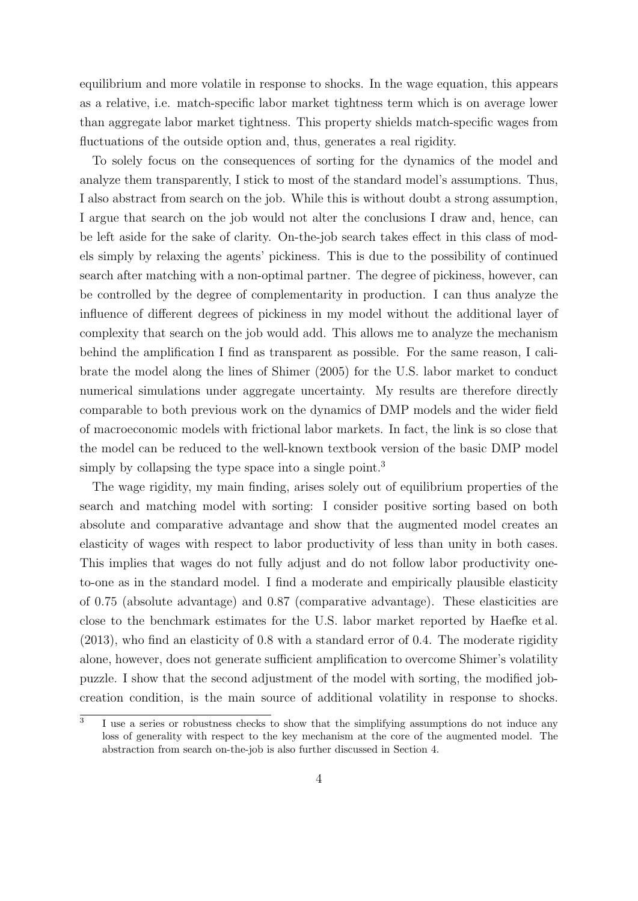equilibrium and more volatile in response to shocks. In the wage equation, this appears as a relative, i.e. match-specific labor market tightness term which is on average lower than aggregate labor market tightness. This property shields match-specific wages from fluctuations of the outside option and, thus, generates a real rigidity.

To solely focus on the consequences of sorting for the dynamics of the model and analyze them transparently, I stick to most of the standard model's assumptions. Thus, I also abstract from search on the job. While this is without doubt a strong assumption, I argue that search on the job would not alter the conclusions I draw and, hence, can be left aside for the sake of clarity. On-the-job search takes effect in this class of models simply by relaxing the agents' pickiness. This is due to the possibility of continued search after matching with a non-optimal partner. The degree of pickiness, however, can be controlled by the degree of complementarity in production. I can thus analyze the influence of different degrees of pickiness in my model without the additional layer of complexity that search on the job would add. This allows me to analyze the mechanism behind the amplification I find as transparent as possible. For the same reason, I calibrate the model along the lines of [Shimer](#page-42-0) [\(2005\)](#page-42-0) for the U.S. labor market to conduct numerical simulations under aggregate uncertainty. My results are therefore directly comparable to both previous work on the dynamics of DMP models and the wider field of macroeconomic models with frictional labor markets. In fact, the link is so close that the model can be reduced to the well-known textbook version of the basic DMP model simply by collapsing the type space into a single point.<sup>[3](#page-3-0)</sup>

The wage rigidity, my main finding, arises solely out of equilibrium properties of the search and matching model with sorting: I consider positive sorting based on both absolute and comparative advantage and show that the augmented model creates an elasticity of wages with respect to labor productivity of less than unity in both cases. This implies that wages do not fully adjust and do not follow labor productivity oneto-one as in the standard model. I find a moderate and empirically plausible elasticity of 0.75 (absolute advantage) and 0.87 (comparative advantage). These elasticities are close to the benchmark estimates for the U.S. labor market reported by [Haefke et al.](#page-40-5) [\(2013\)](#page-40-5), who find an elasticity of 0.8 with a standard error of 0.4. The moderate rigidity alone, however, does not generate sufficient amplification to overcome Shimer's volatility puzzle. I show that the second adjustment of the model with sorting, the modified jobcreation condition, is the main source of additional volatility in response to shocks.

<span id="page-3-0"></span><sup>3</sup> I use a series or robustness checks to show that the simplifying assumptions do not induce any loss of generality with respect to the key mechanism at the core of the augmented model. The abstraction from search on-the-job is also further discussed in Section [4.](#page-31-0)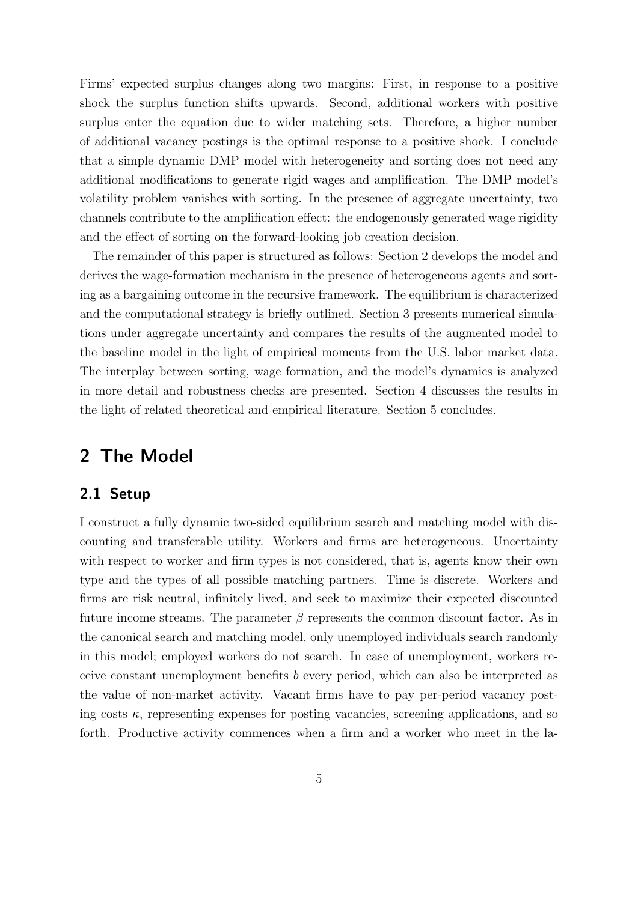Firms' expected surplus changes along two margins: First, in response to a positive shock the surplus function shifts upwards. Second, additional workers with positive surplus enter the equation due to wider matching sets. Therefore, a higher number of additional vacancy postings is the optimal response to a positive shock. I conclude that a simple dynamic DMP model with heterogeneity and sorting does not need any additional modifications to generate rigid wages and amplification. The DMP model's volatility problem vanishes with sorting. In the presence of aggregate uncertainty, two channels contribute to the amplification effect: the endogenously generated wage rigidity and the effect of sorting on the forward-looking job creation decision.

The remainder of this paper is structured as follows: Section [2](#page-4-0) develops the model and derives the wage-formation mechanism in the presence of heterogeneous agents and sorting as a bargaining outcome in the recursive framework. The equilibrium is characterized and the computational strategy is briefly outlined. Section [3](#page-19-0) presents numerical simulations under aggregate uncertainty and compares the results of the augmented model to the baseline model in the light of empirical moments from the U.S. labor market data. The interplay between sorting, wage formation, and the model's dynamics is analyzed in more detail and robustness checks are presented. Section [4](#page-31-0) discusses the results in the light of related theoretical and empirical literature. Section [5](#page-36-0) concludes.

# <span id="page-4-0"></span>2 The Model

#### 2.1 Setup

I construct a fully dynamic two-sided equilibrium search and matching model with discounting and transferable utility. Workers and firms are heterogeneous. Uncertainty with respect to worker and firm types is not considered, that is, agents know their own type and the types of all possible matching partners. Time is discrete. Workers and firms are risk neutral, infinitely lived, and seek to maximize their expected discounted future income streams. The parameter  $\beta$  represents the common discount factor. As in the canonical search and matching model, only unemployed individuals search randomly in this model; employed workers do not search. In case of unemployment, workers receive constant unemployment benefits b every period, which can also be interpreted as the value of non-market activity. Vacant firms have to pay per-period vacancy posting costs  $\kappa$ , representing expenses for posting vacancies, screening applications, and so forth. Productive activity commences when a firm and a worker who meet in the la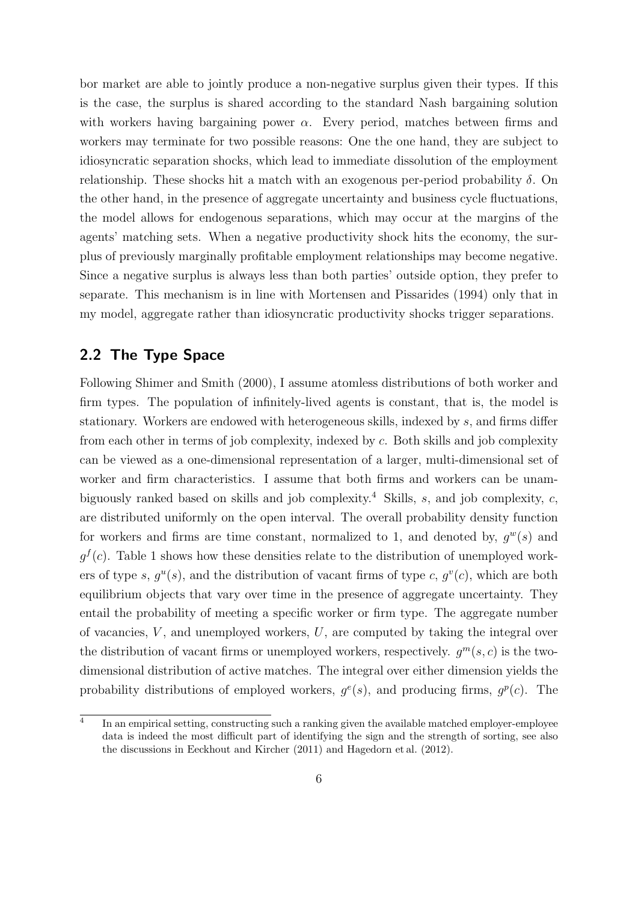bor market are able to jointly produce a non-negative surplus given their types. If this is the case, the surplus is shared according to the standard Nash bargaining solution with workers having bargaining power  $\alpha$ . Every period, matches between firms and workers may terminate for two possible reasons: One the one hand, they are subject to idiosyncratic separation shocks, which lead to immediate dissolution of the employment relationship. These shocks hit a match with an exogenous per-period probability  $\delta$ . On the other hand, in the presence of aggregate uncertainty and business cycle fluctuations, the model allows for endogenous separations, which may occur at the margins of the agents' matching sets. When a negative productivity shock hits the economy, the surplus of previously marginally profitable employment relationships may become negative. Since a negative surplus is always less than both parties' outside option, they prefer to separate. This mechanism is in line with [Mortensen and Pissarides](#page-41-3) [\(1994\)](#page-41-3) only that in my model, aggregate rather than idiosyncratic productivity shocks trigger separations.

#### 2.2 The Type Space

Following [Shimer and Smith](#page-42-1) [\(2000\)](#page-42-1), I assume atomless distributions of both worker and firm types. The population of infinitely-lived agents is constant, that is, the model is stationary. Workers are endowed with heterogeneous skills, indexed by s, and firms differ from each other in terms of job complexity, indexed by c. Both skills and job complexity can be viewed as a one-dimensional representation of a larger, multi-dimensional set of worker and firm characteristics. I assume that both firms and workers can be unam-biguously ranked based on skills and job complexity.<sup>[4](#page-5-0)</sup> Skills, s, and job complexity, c, are distributed uniformly on the open interval. The overall probability density function for workers and firms are time constant, normalized to 1, and denoted by,  $g^w(s)$  and  $g<sup>f</sup>(c)$ . Table [1](#page-6-0) shows how these densities relate to the distribution of unemployed workers of type s,  $g^u(s)$ , and the distribution of vacant firms of type c,  $g^v(c)$ , which are both equilibrium objects that vary over time in the presence of aggregate uncertainty. They entail the probability of meeting a specific worker or firm type. The aggregate number of vacancies,  $V$ , and unemployed workers,  $U$ , are computed by taking the integral over the distribution of vacant firms or unemployed workers, respectively.  $g^m(s, c)$  is the twodimensional distribution of active matches. The integral over either dimension yields the probability distributions of employed workers,  $g^{e}(s)$ , and producing firms,  $g^{p}(c)$ . The

<span id="page-5-0"></span><sup>4</sup> In an empirical setting, constructing such a ranking given the available matched employer-employee data is indeed the most difficult part of identifying the sign and the strength of sorting, see also the discussions in [Eeckhout and Kircher](#page-39-1) [\(2011\)](#page-39-1) and [Hagedorn et al.](#page-40-4) [\(2012\)](#page-40-4).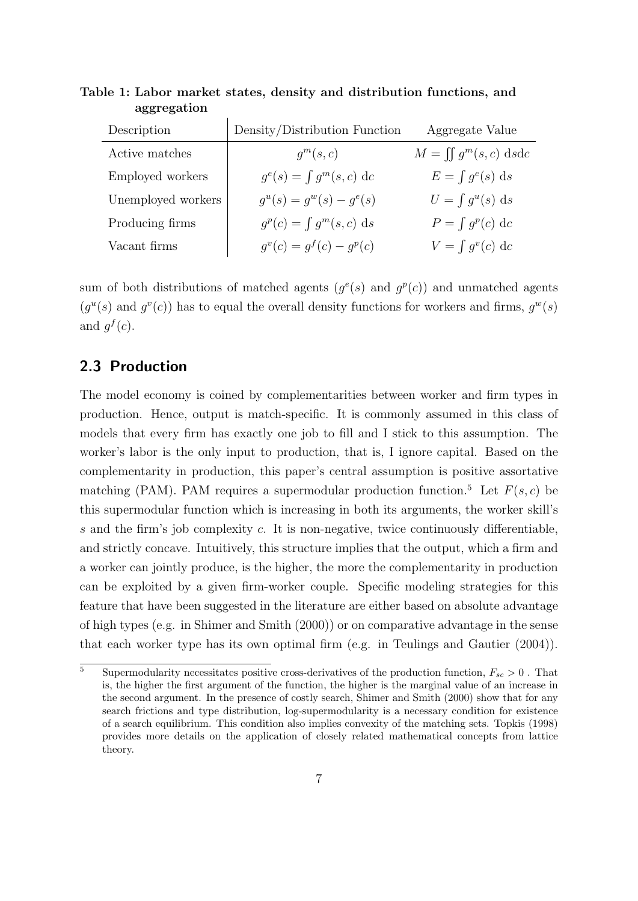| Description        | Density/Distribution Function    | Aggregate Value            |
|--------------------|----------------------------------|----------------------------|
| Active matches     | $q^m(s,c)$                       | $M = \iint g^m(s,c) ds$ dc |
| Employed workers   | $g^{e}(s) = \int g^{m}(s, c) dc$ | $E = \int g^{e}(s) ds$     |
| Unemployed workers | $q^u(s) = q^w(s) - q^e(s)$       | $U = \int g^u(s) ds$       |
| Producing firms    | $g^p(c) = \int g^m(s, c) ds$     | $P = \int g^p(c) dc$       |
| Vacant firms       | $q^{v}(c) = q^{f}(c) - q^{p}(c)$ | $V = \int g^{v}(c) dc$     |

<span id="page-6-0"></span>Table 1: Labor market states, density and distribution functions, and aggregation

sum of both distributions of matched agents  $(g^e(s)$  and  $g^p(c)$ ) and unmatched agents  $(g^u(s)$  and  $g^v(c)$ ) has to equal the overall density functions for workers and firms,  $g^w(s)$ and  $g^f(c)$ .

#### <span id="page-6-2"></span>2.3 Production

The model economy is coined by complementarities between worker and firm types in production. Hence, output is match-specific. It is commonly assumed in this class of models that every firm has exactly one job to fill and I stick to this assumption. The worker's labor is the only input to production, that is, I ignore capital. Based on the complementarity in production, this paper's central assumption is positive assortative matching (PAM). PAM requires a supermodular production function.<sup>[5](#page-6-1)</sup> Let  $F(s, c)$  be this supermodular function which is increasing in both its arguments, the worker skill's s and the firm's job complexity c. It is non-negative, twice continuously differentiable, and strictly concave. Intuitively, this structure implies that the output, which a firm and a worker can jointly produce, is the higher, the more the complementarity in production can be exploited by a given firm-worker couple. Specific modeling strategies for this feature that have been suggested in the literature are either based on absolute advantage of high types (e.g. in [Shimer and Smith](#page-42-1) [\(2000\)](#page-42-1)) or on comparative advantage in the sense that each worker type has its own optimal firm (e.g. in [Teulings and Gautier](#page-42-3) [\(2004\)](#page-42-3)).

<span id="page-6-1"></span><sup>&</sup>lt;sup>5</sup> Supermodularity necessitates positive cross-derivatives of the production function,  $F_{sc} > 0$ . That is, the higher the first argument of the function, the higher is the marginal value of an increase in the second argument. In the presence of costly search, [Shimer and Smith](#page-42-1) [\(2000\)](#page-42-1) show that for any search frictions and type distribution, log-supermodularity is a necessary condition for existence of a search equilibrium. This condition also implies convexity of the matching sets. [Topkis](#page-42-4) [\(1998\)](#page-42-4) provides more details on the application of closely related mathematical concepts from lattice theory.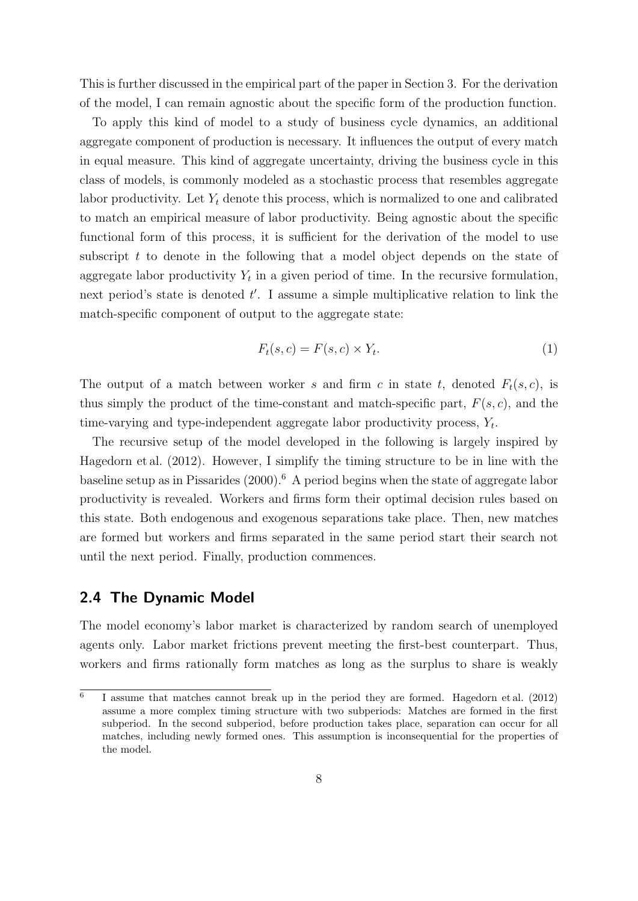This is further discussed in the empirical part of the paper in Section [3.](#page-19-0) For the derivation of the model, I can remain agnostic about the specific form of the production function.

To apply this kind of model to a study of business cycle dynamics, an additional aggregate component of production is necessary. It influences the output of every match in equal measure. This kind of aggregate uncertainty, driving the business cycle in this class of models, is commonly modeled as a stochastic process that resembles aggregate labor productivity. Let  $Y_t$  denote this process, which is normalized to one and calibrated to match an empirical measure of labor productivity. Being agnostic about the specific functional form of this process, it is sufficient for the derivation of the model to use subscript  $t$  to denote in the following that a model object depends on the state of aggregate labor productivity  $Y_t$  in a given period of time. In the recursive formulation, next period's state is denoted  $t'$ . I assume a simple multiplicative relation to link the match-specific component of output to the aggregate state:

<span id="page-7-1"></span>
$$
F_t(s, c) = F(s, c) \times Y_t.
$$
\n<sup>(1)</sup>

The output of a match between worker s and firm c in state t, denoted  $F_t(s, c)$ , is thus simply the product of the time-constant and match-specific part,  $F(s, c)$ , and the time-varying and type-independent aggregate labor productivity process,  $Y_t$ .

The recursive setup of the model developed in the following is largely inspired by [Hagedorn et al.](#page-40-4) [\(2012\)](#page-40-4). However, I simplify the timing structure to be in line with the baseline setup as in [Pissarides](#page-41-4)  $(2000)^6$  $(2000)^6$  $(2000)^6$ . A period begins when the state of aggregate labor productivity is revealed. Workers and firms form their optimal decision rules based on this state. Both endogenous and exogenous separations take place. Then, new matches are formed but workers and firms separated in the same period start their search not until the next period. Finally, production commences.

#### 2.4 The Dynamic Model

The model economy's labor market is characterized by random search of unemployed agents only. Labor market frictions prevent meeting the first-best counterpart. Thus, workers and firms rationally form matches as long as the surplus to share is weakly

<span id="page-7-0"></span><sup>6</sup> I assume that matches cannot break up in the period they are formed. [Hagedorn et al.](#page-40-4) [\(2012\)](#page-40-4) assume a more complex timing structure with two subperiods: Matches are formed in the first subperiod. In the second subperiod, before production takes place, separation can occur for all matches, including newly formed ones. This assumption is inconsequential for the properties of the model.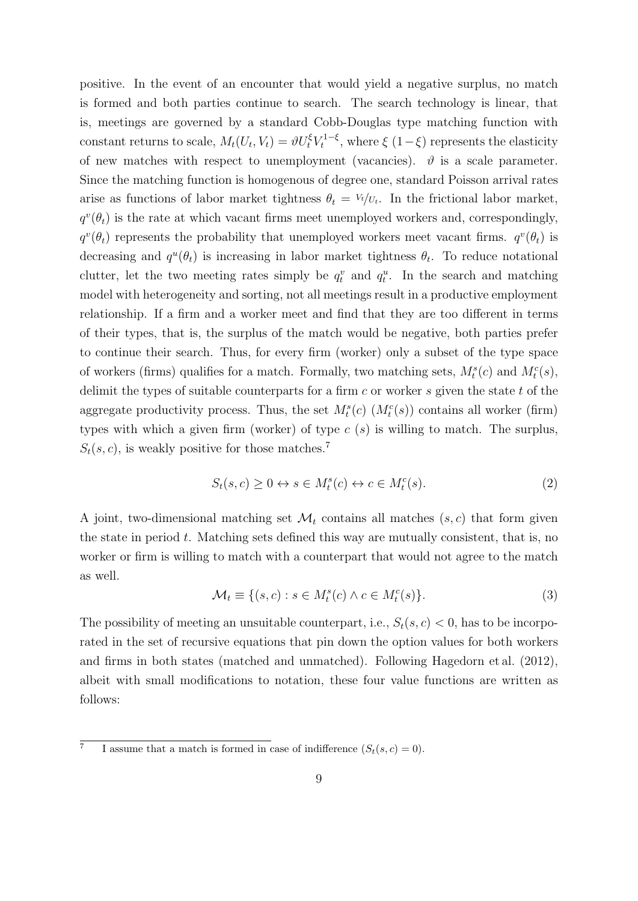positive. In the event of an encounter that would yield a negative surplus, no match is formed and both parties continue to search. The search technology is linear, that is, meetings are governed by a standard Cobb-Douglas type matching function with constant returns to scale,  $M_t(U_t, V_t) = \vartheta U_t^{\xi} V_t^{1-\xi}$  $t_t^{1-\xi}$ , where  $\xi(1-\xi)$  represents the elasticity of new matches with respect to unemployment (vacancies).  $\vartheta$  is a scale parameter. Since the matching function is homogenous of degree one, standard Poisson arrival rates arise as functions of labor market tightness  $\theta_t = V_t/v_t$ . In the frictional labor market,  $q^v(\theta_t)$  is the rate at which vacant firms meet unemployed workers and, correspondingly,  $q^v(\theta_t)$  represents the probability that unemployed workers meet vacant firms.  $q^v(\theta_t)$  is decreasing and  $q^u(\theta_t)$  is increasing in labor market tightness  $\theta_t$ . To reduce notational clutter, let the two meeting rates simply be  $q_t^v$  and  $q_t^u$ . In the search and matching model with heterogeneity and sorting, not all meetings result in a productive employment relationship. If a firm and a worker meet and find that they are too different in terms of their types, that is, the surplus of the match would be negative, both parties prefer to continue their search. Thus, for every firm (worker) only a subset of the type space of workers (firms) qualifies for a match. Formally, two matching sets,  $M_t^s(c)$  and  $M_t^c(s)$ , delimit the types of suitable counterparts for a firm  $c$  or worker  $s$  given the state  $t$  of the aggregate productivity process. Thus, the set  $M_t^s(c)$   $(M_t^c(s))$  contains all worker (firm) types with which a given firm (worker) of type  $c(s)$  is willing to match. The surplus,  $S_t(s, c)$ , is weakly positive for those matches.<sup>[7](#page-8-0)</sup>

$$
S_t(s, c) \ge 0 \leftrightarrow s \in M_t^s(c) \leftrightarrow c \in M_t^c(s). \tag{2}
$$

A joint, two-dimensional matching set  $\mathcal{M}_t$  contains all matches  $(s, c)$  that form given the state in period  $t$ . Matching sets defined this way are mutually consistent, that is, no worker or firm is willing to match with a counterpart that would not agree to the match as well.

$$
\mathcal{M}_t \equiv \{ (s, c) : s \in M_t^s(c) \land c \in M_t^c(s) \}. \tag{3}
$$

The possibility of meeting an unsuitable counterpart, i.e.,  $S_t(s, c) < 0$ , has to be incorporated in the set of recursive equations that pin down the option values for both workers and firms in both states (matched and unmatched). Following [Hagedorn et al.](#page-40-4) [\(2012\)](#page-40-4), albeit with small modifications to notation, these four value functions are written as follows:

<span id="page-8-0"></span><sup>7</sup> I assume that a match is formed in case of indifference  $(S_t(s, c) = 0)$ .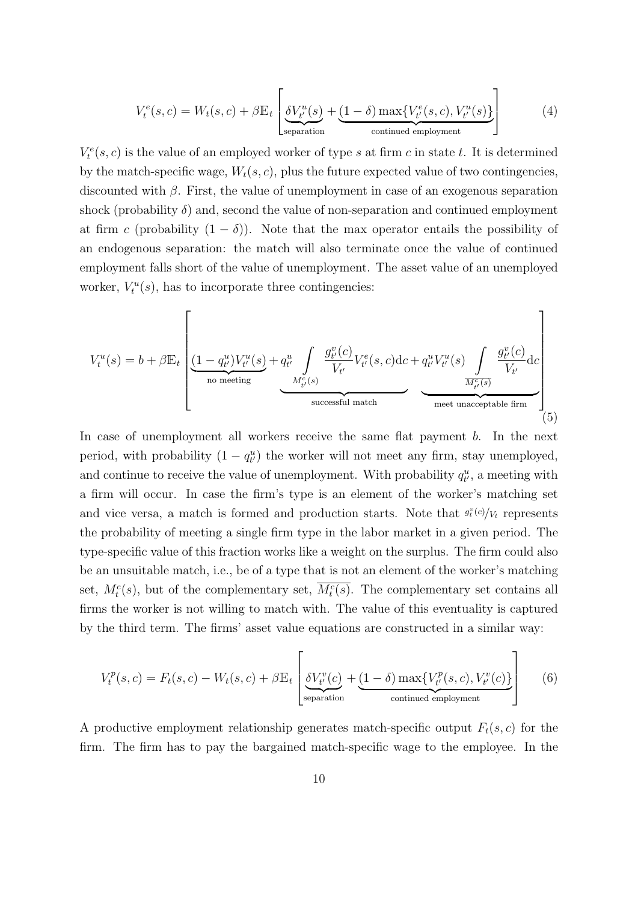<span id="page-9-1"></span>
$$
V_t^e(s, c) = W_t(s, c) + \beta \mathbb{E}_t \left[ \underbrace{\delta V_{t'}^u(s)}_{\text{separation}} + \underbrace{(1 - \delta) \max \{ V_{t'}^e(s, c), V_{t'}^u(s) \}}_{\text{continued employment}} \right]
$$
(4)

 $V_t^e(s, c)$  is the value of an employed worker of type s at firm c in state t. It is determined by the match-specific wage,  $W_t(s, c)$ , plus the future expected value of two contingencies, discounted with  $\beta$ . First, the value of unemployment in case of an exogenous separation shock (probability  $\delta$ ) and, second the value of non-separation and continued employment at firm c (probability  $(1 - \delta)$ ). Note that the max operator entails the possibility of an endogenous separation: the match will also terminate once the value of continued employment falls short of the value of unemployment. The asset value of an unemployed worker,  $V_t^u(s)$ , has to incorporate three contingencies:

<span id="page-9-0"></span>
$$
V_t^u(s) = b + \beta \mathbb{E}_t \left[ \underbrace{\underbrace{(1 - q_{t'}^u)V_{t'}^u(s)}_{\text{no meeting}} + \underbrace{q_{t'}^u \int}_{M_{t'}^c(s)} \underbrace{g_{t'}^v(c)}_{V_{t'}^v} V_{t'}^e(s, c) \text{d}c + \underbrace{q_{t'}^u V_{t'}^u(s)}_{M_{t'}^c(s)} \underbrace{\int}_{\text{meet unacceptable firm}} \underbrace{g_{t'}^v(c)}_{\text{(5)}}
$$

In case of unemployment all workers receive the same flat payment b. In the next period, with probability  $(1 - q_{t'}^u)$  the worker will not meet any firm, stay unemployed, and continue to receive the value of unemployment. With probability  $q_{t'}^u$ , a meeting with a firm will occur. In case the firm's type is an element of the worker's matching set and vice versa, a match is formed and production starts. Note that  $g_t^v(c)/V_t$  represents the probability of meeting a single firm type in the labor market in a given period. The type-specific value of this fraction works like a weight on the surplus. The firm could also be an unsuitable match, i.e., be of a type that is not an element of the worker's matching set,  $M_t^c(s)$ , but of the complementary set,  $\overline{M_t^c(s)}$ . The complementary set contains all firms the worker is not willing to match with. The value of this eventuality is captured by the third term. The firms' asset value equations are constructed in a similar way:

$$
V_t^p(s,c) = F_t(s,c) - W_t(s,c) + \beta \mathbb{E}_t \left[ \underbrace{\delta V_{t'}^v(c)}_{\text{separation}} + \underbrace{(1-\delta) \max \{V_{t'}^p(s,c), V_{t'}^v(c)\}}_{\text{continued employment}} \right]
$$
(6)

A productive employment relationship generates match-specific output  $F_t(s, c)$  for the firm. The firm has to pay the bargained match-specific wage to the employee. In the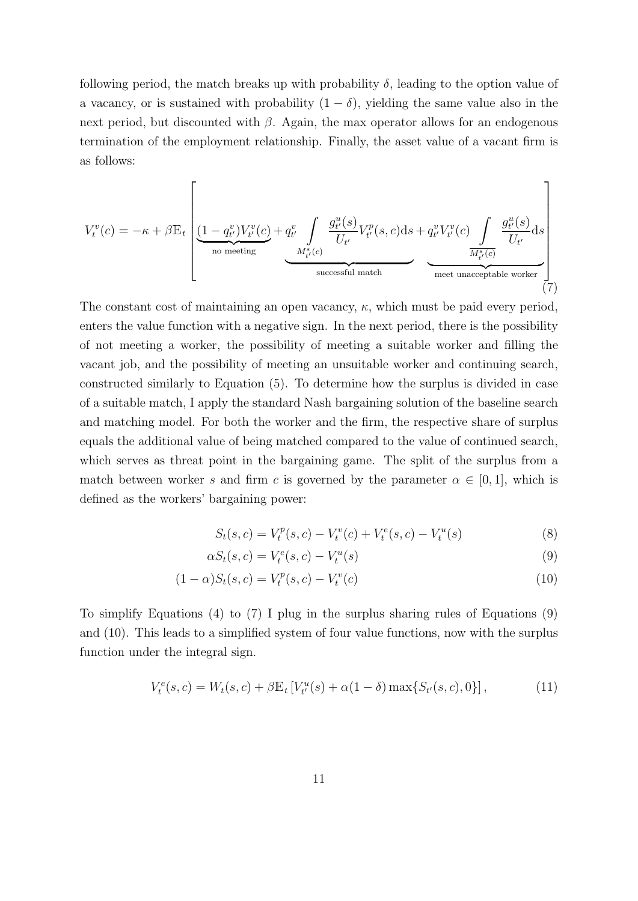following period, the match breaks up with probability  $\delta$ , leading to the option value of a vacancy, or is sustained with probability  $(1 - \delta)$ , yielding the same value also in the next period, but discounted with  $\beta$ . Again, the max operator allows for an endogenous termination of the employment relationship. Finally, the asset value of a vacant firm is as follows:

<span id="page-10-0"></span>
$$
V_t^v(c) = -\kappa + \beta \mathbb{E}_t \left[ \underbrace{(1-q_{t'}^v)V_{t'}^v(c)}_{\text{no meeting}} + \underbrace{q_{t'}^v \int \limits_{M_{t'}^s(c)} \frac{g_{t'}^u(s)}{U_{t'}} V_{t'}^p(s,c) ds}_{\text{successful match}} + \underbrace{q_{t'}^v V_{t'}^v(c)}_{\text{meet unacceptable worker}} \underbrace{\int \limits_{M_{t'}^s(c)} \frac{g_{t'}^u(s)}{U_{t'}} ds}_{\text{(7)}}
$$

The constant cost of maintaining an open vacancy,  $\kappa$ , which must be paid every period, enters the value function with a negative sign. In the next period, there is the possibility of not meeting a worker, the possibility of meeting a suitable worker and filling the vacant job, and the possibility of meeting an unsuitable worker and continuing search, constructed similarly to Equation [\(5\)](#page-9-0). To determine how the surplus is divided in case of a suitable match, I apply the standard Nash bargaining solution of the baseline search and matching model. For both the worker and the firm, the respective share of surplus equals the additional value of being matched compared to the value of continued search, which serves as threat point in the bargaining game. The split of the surplus from a match between worker s and firm c is governed by the parameter  $\alpha \in [0,1]$ , which is defined as the workers' bargaining power:

<span id="page-10-2"></span><span id="page-10-1"></span>
$$
S_t(s,c) = V_t^p(s,c) - V_t^v(c) + V_t^e(s,c) - V_t^u(s)
$$
\n(8)

$$
\alpha S_t(s,c) = V_t^e(s,c) - V_t^u(s) \tag{9}
$$

$$
(1 - \alpha)S_t(s, c) = V_t^p(s, c) - V_t^v(c)
$$
\n(10)

To simplify Equations [\(4\)](#page-9-1) to [\(7\)](#page-10-0) I plug in the surplus sharing rules of Equations [\(9\)](#page-10-1) and [\(10\)](#page-10-2). This leads to a simplified system of four value functions, now with the surplus function under the integral sign.

<span id="page-10-3"></span>
$$
V_t^e(s, c) = W_t(s, c) + \beta \mathbb{E}_t \left[ V_{t'}^u(s) + \alpha (1 - \delta) \max\{ S_{t'}(s, c), 0 \} \right],\tag{11}
$$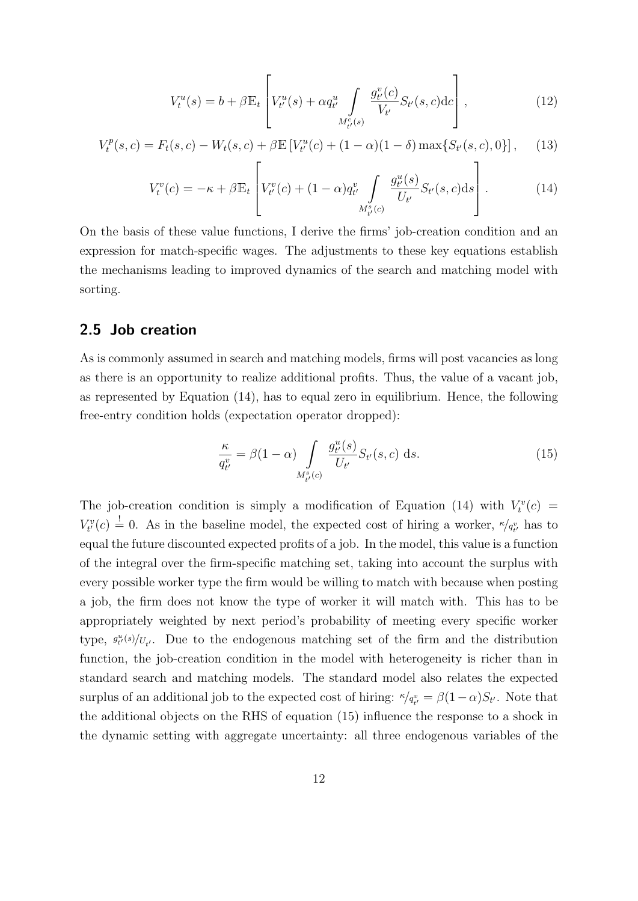<span id="page-11-2"></span>
$$
V_t^u(s) = b + \beta \mathbb{E}_t \left[ V_{t'}^u(s) + \alpha q_{t'}^u \int\limits_{M_{t'}^c(s)} \frac{g_{t'}^v(c)}{V_{t'}} S_{t'}(s, c) \mathrm{d}c \right],\tag{12}
$$

<span id="page-11-3"></span>
$$
V_t^p(s,c) = F_t(s,c) - W_t(s,c) + \beta \mathbb{E}\left[V_{t'}^u(c) + (1-\alpha)(1-\delta)\max\{S_{t'}(s,c),0\}\right],\tag{13}
$$

<span id="page-11-0"></span>
$$
V_t^v(c) = -\kappa + \beta \mathbb{E}_t \left[ V_{t'}^v(c) + (1 - \alpha) q_{t'}^v \int\limits_{M_{t'}^s(c)} \frac{g_{t'}^u(s)}{U_{t'}} S_{t'}(s, c) \, \mathrm{d}s \right]. \tag{14}
$$

On the basis of these value functions, I derive the firms' job-creation condition and an expression for match-specific wages. The adjustments to these key equations establish the mechanisms leading to improved dynamics of the search and matching model with sorting.

#### <span id="page-11-4"></span>2.5 Job creation

As is commonly assumed in search and matching models, firms will post vacancies as long as there is an opportunity to realize additional profits. Thus, the value of a vacant job, as represented by Equation [\(14\)](#page-11-0), has to equal zero in equilibrium. Hence, the following free-entry condition holds (expectation operator dropped):

<span id="page-11-1"></span>
$$
\frac{\kappa}{q_{t'}^v} = \beta(1-\alpha) \int\limits_{M_{t'}^s(c)} \frac{g_{t'}^u(s)}{U_{t'}} S_{t'}(s, c) \, \mathrm{d}s. \tag{15}
$$

The job-creation condition is simply a modification of Equation [\(14\)](#page-11-0) with  $V_t^v(c)$  =  $V_{t'}^v(c) \stackrel{!}{=} 0$ . As in the baseline model, the expected cost of hiring a worker,  $\kappa / q_{t'}^v$  has to equal the future discounted expected profits of a job. In the model, this value is a function of the integral over the firm-specific matching set, taking into account the surplus with every possible worker type the firm would be willing to match with because when posting a job, the firm does not know the type of worker it will match with. This has to be appropriately weighted by next period's probability of meeting every specific worker type,  $g_{t'}^{u}(s)/U_{t'}$ . Due to the endogenous matching set of the firm and the distribution function, the job-creation condition in the model with heterogeneity is richer than in standard search and matching models. The standard model also relates the expected surplus of an additional job to the expected cost of hiring:  $\kappa / q_{t'}^v = \beta (1 - \alpha) S_{t'}$ . Note that the additional objects on the RHS of equation [\(15\)](#page-11-1) influence the response to a shock in the dynamic setting with aggregate uncertainty: all three endogenous variables of the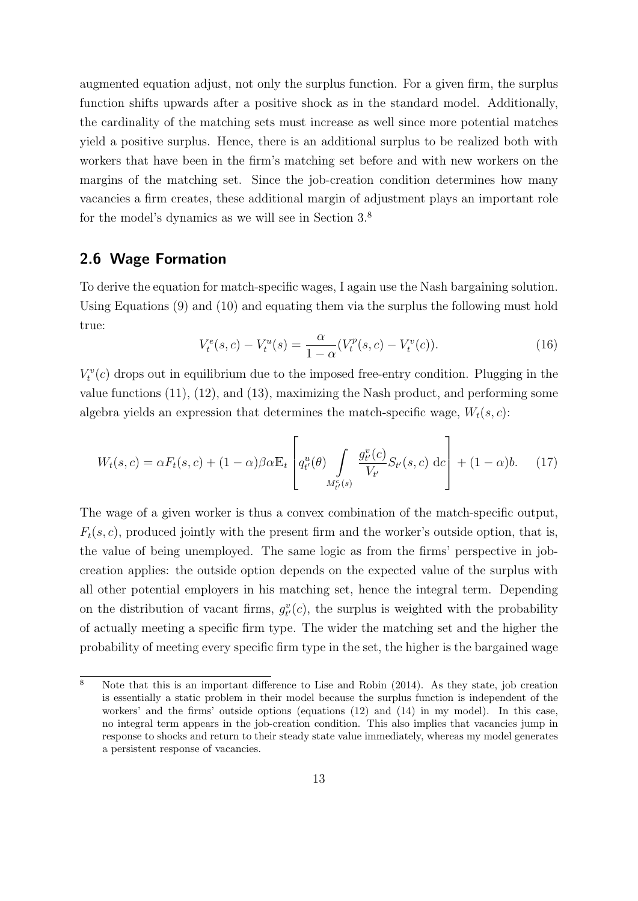augmented equation adjust, not only the surplus function. For a given firm, the surplus function shifts upwards after a positive shock as in the standard model. Additionally, the cardinality of the matching sets must increase as well since more potential matches yield a positive surplus. Hence, there is an additional surplus to be realized both with workers that have been in the firm's matching set before and with new workers on the margins of the matching set. Since the job-creation condition determines how many vacancies a firm creates, these additional margin of adjustment plays an important role for the model's dynamics as we will see in Section [3.](#page-19-0)[8](#page-12-0)

#### <span id="page-12-1"></span>2.6 Wage Formation

To derive the equation for match-specific wages, I again use the Nash bargaining solution. Using Equations [\(9\)](#page-10-1) and [\(10\)](#page-10-2) and equating them via the surplus the following must hold true:

$$
V_t^e(s, c) - V_t^u(s) = \frac{\alpha}{1 - \alpha} (V_t^p(s, c) - V_t^v(c)).
$$
\n(16)

 $V_t^v(c)$  drops out in equilibrium due to the imposed free-entry condition. Plugging in the value functions [\(11\)](#page-10-3), [\(12\)](#page-11-2), and [\(13\)](#page-11-3), maximizing the Nash product, and performing some algebra yields an expression that determines the match-specific wage,  $W_t(s, c)$ :

$$
W_t(s,c) = \alpha F_t(s,c) + (1-\alpha)\beta \alpha \mathbb{E}_t \left[ q^u_{t'}(\theta) \int\limits_{M^c_{t'}(s)} \frac{g^v_{t'}(c)}{V_{t'}} S_{t'}(s,c) \, \mathrm{d}c \right] + (1-\alpha)b. \tag{17}
$$

The wage of a given worker is thus a convex combination of the match-specific output,  $F_t(s, c)$ , produced jointly with the present firm and the worker's outside option, that is, the value of being unemployed. The same logic as from the firms' perspective in jobcreation applies: the outside option depends on the expected value of the surplus with all other potential employers in his matching set, hence the integral term. Depending on the distribution of vacant firms,  $g_{t'}^v(c)$ , the surplus is weighted with the probability of actually meeting a specific firm type. The wider the matching set and the higher the probability of meeting every specific firm type in the set, the higher is the bargained wage

<span id="page-12-0"></span> $\overline{\text{8}}$  Note that this is an important difference to [Lise and Robin](#page-41-1) [\(2014\)](#page-41-1). As they state, job creation is essentially a static problem in their model because the surplus function is independent of the workers' and the firms' outside options (equations [\(12\)](#page-11-2) and [\(14\)](#page-11-0) in my model). In this case, no integral term appears in the job-creation condition. This also implies that vacancies jump in response to shocks and return to their steady state value immediately, whereas my model generates a persistent response of vacancies.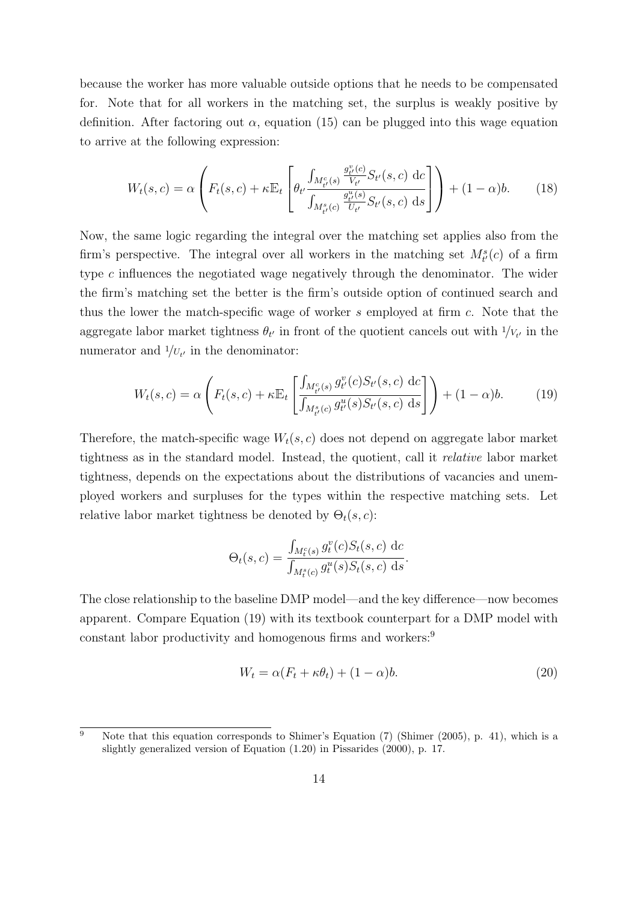because the worker has more valuable outside options that he needs to be compensated for. Note that for all workers in the matching set, the surplus is weakly positive by definition. After factoring out  $\alpha$ , equation [\(15\)](#page-11-1) can be plugged into this wage equation to arrive at the following expression:

$$
W_t(s,c) = \alpha \left( F_t(s,c) + \kappa \mathbb{E}_t \left[ \theta_{t'} \frac{\int_{M_{t'}^c(s)} \frac{g_{t'}^v(c)}{V_{t'}} S_{t'}(s,c) \, dc}{\int_{M_{t'}^s(c)} \frac{g_{t'}^u(s)}{U_{t'}} S_{t'}(s,c) \, ds} \right] \right) + (1-\alpha)b. \tag{18}
$$

Now, the same logic regarding the integral over the matching set applies also from the firm's perspective. The integral over all workers in the matching set  $M_{t'}^{s}(c)$  of a firm type c influences the negotiated wage negatively through the denominator. The wider the firm's matching set the better is the firm's outside option of continued search and thus the lower the match-specific wage of worker s employed at firm c. Note that the aggregate labor market tightness  $\theta_{t'}$  in front of the quotient cancels out with  $1/V_{t'}$  in the numerator and  $1/U_{t'}$  in the denominator:

<span id="page-13-0"></span>
$$
W_t(s,c) = \alpha \left( F_t(s,c) + \kappa \mathbb{E}_t \left[ \frac{\int_{M^c_{t'}(s)} g^v_{t'}(c) S_{t'}(s,c) \, dc}{\int_{M^s_{t'}(c)} g^u_{t'}(s) S_{t'}(s,c) \, ds} \right] \right) + (1 - \alpha)b. \tag{19}
$$

Therefore, the match-specific wage  $W_t(s, c)$  does not depend on aggregate labor market tightness as in the standard model. Instead, the quotient, call it relative labor market tightness, depends on the expectations about the distributions of vacancies and unemployed workers and surpluses for the types within the respective matching sets. Let relative labor market tightness be denoted by  $\Theta_t(s, c)$ :

$$
\Theta_t(s, c) = \frac{\int_{M_t^c(s)} g_t^v(c) S_t(s, c) dc}{\int_{M_t^s(c)} g_t^u(s) S_t(s, c) ds}.
$$

The close relationship to the baseline DMP model—and the key difference—now becomes apparent. Compare Equation [\(19\)](#page-13-0) with its textbook counterpart for a DMP model with constant labor productivity and homogenous firms and workers:<sup>[9](#page-13-1)</sup>

<span id="page-13-2"></span>
$$
W_t = \alpha (F_t + \kappa \theta_t) + (1 - \alpha)b. \tag{20}
$$

<span id="page-13-1"></span> $\overline{9}$  Note that this equation corresponds to Shimer's Equation (7) [\(Shimer](#page-42-0) [\(2005\)](#page-42-0), p. 41), which is a slightly generalized version of Equation (1.20) in [Pissarides](#page-41-4) [\(2000\)](#page-41-4), p. 17.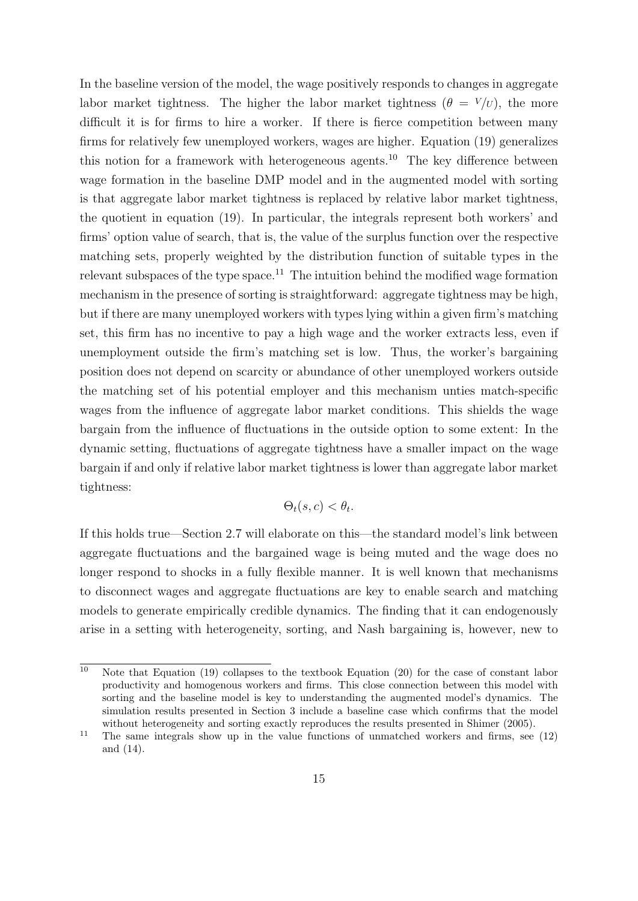In the baseline version of the model, the wage positively responds to changes in aggregate labor market tightness. The higher the labor market tightness ( $\theta = V/U$ ), the more difficult it is for firms to hire a worker. If there is fierce competition between many firms for relatively few unemployed workers, wages are higher. Equation [\(19\)](#page-13-0) generalizes this notion for a framework with heterogeneous agents.[10](#page-14-0) The key difference between wage formation in the baseline DMP model and in the augmented model with sorting is that aggregate labor market tightness is replaced by relative labor market tightness, the quotient in equation [\(19\)](#page-13-0). In particular, the integrals represent both workers' and firms' option value of search, that is, the value of the surplus function over the respective matching sets, properly weighted by the distribution function of suitable types in the relevant subspaces of the type space.<sup>[11](#page-14-1)</sup> The intuition behind the modified wage formation mechanism in the presence of sorting is straightforward: aggregate tightness may be high, but if there are many unemployed workers with types lying within a given firm's matching set, this firm has no incentive to pay a high wage and the worker extracts less, even if unemployment outside the firm's matching set is low. Thus, the worker's bargaining position does not depend on scarcity or abundance of other unemployed workers outside the matching set of his potential employer and this mechanism unties match-specific wages from the influence of aggregate labor market conditions. This shields the wage bargain from the influence of fluctuations in the outside option to some extent: In the dynamic setting, fluctuations of aggregate tightness have a smaller impact on the wage bargain if and only if relative labor market tightness is lower than aggregate labor market tightness:

$$
\Theta_t(s,c) < \theta_t.
$$

If this holds true—Section [2.7](#page-15-0) will elaborate on this—the standard model's link between aggregate fluctuations and the bargained wage is being muted and the wage does no longer respond to shocks in a fully flexible manner. It is well known that mechanisms to disconnect wages and aggregate fluctuations are key to enable search and matching models to generate empirically credible dynamics. The finding that it can endogenously arise in a setting with heterogeneity, sorting, and Nash bargaining is, however, new to

<span id="page-14-0"></span><sup>&</sup>lt;sup>10</sup> Note that Equation [\(19\)](#page-13-0) collapses to the textbook Equation [\(20\)](#page-13-2) for the case of constant labor productivity and homogenous workers and firms. This close connection between this model with sorting and the baseline model is key to understanding the augmented model's dynamics. The simulation results presented in Section [3](#page-19-0) include a baseline case which confirms that the model without heterogeneity and sorting exactly reproduces the results presented in [Shimer](#page-42-0) [\(2005\)](#page-42-0).

<span id="page-14-1"></span><sup>&</sup>lt;sup>11</sup> The same integrals show up in the value functions of unmatched workers and firms, see  $(12)$ and [\(14\)](#page-11-0).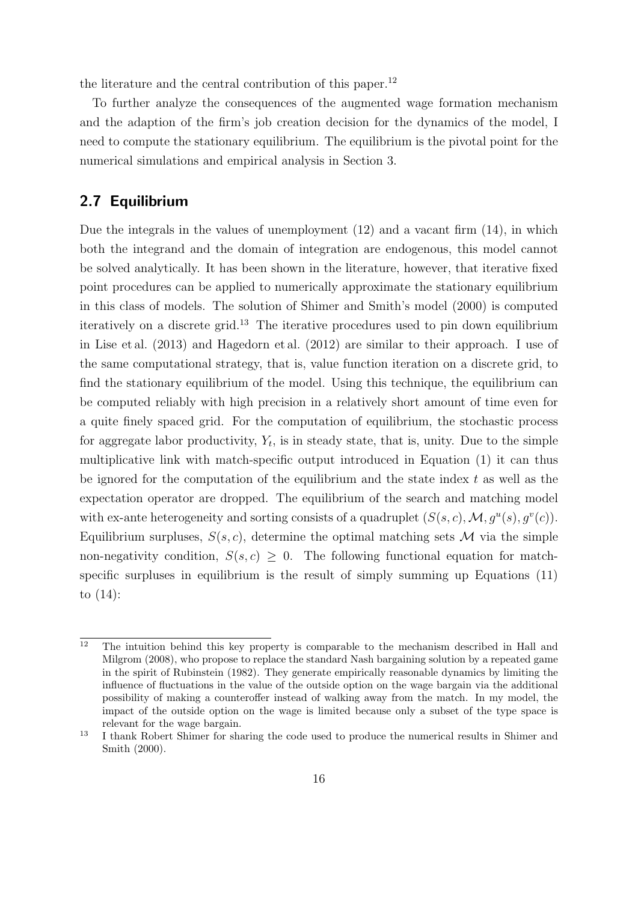the literature and the central contribution of this paper.<sup>[12](#page-15-1)</sup>

To further analyze the consequences of the augmented wage formation mechanism and the adaption of the firm's job creation decision for the dynamics of the model, I need to compute the stationary equilibrium. The equilibrium is the pivotal point for the numerical simulations and empirical analysis in Section [3.](#page-19-0)

#### <span id="page-15-0"></span>2.7 Equilibrium

Due the integrals in the values of unemployment [\(12\)](#page-11-2) and a vacant firm [\(14\)](#page-11-0), in which both the integrand and the domain of integration are endogenous, this model cannot be solved analytically. It has been shown in the literature, however, that iterative fixed point procedures can be applied to numerically approximate the stationary equilibrium in this class of models. The solution of Shimer and Smith's model (2000) is computed iteratively on a discrete grid.<sup>[13](#page-15-2)</sup> The iterative procedures used to pin down equilibrium in [Lise et al.](#page-41-5) [\(2013\)](#page-41-5) and [Hagedorn et al.](#page-40-4) [\(2012\)](#page-40-4) are similar to their approach. I use of the same computational strategy, that is, value function iteration on a discrete grid, to find the stationary equilibrium of the model. Using this technique, the equilibrium can be computed reliably with high precision in a relatively short amount of time even for a quite finely spaced grid. For the computation of equilibrium, the stochastic process for aggregate labor productivity,  $Y_t$ , is in steady state, that is, unity. Due to the simple multiplicative link with match-specific output introduced in Equation [\(1\)](#page-7-1) it can thus be ignored for the computation of the equilibrium and the state index  $t$  as well as the expectation operator are dropped. The equilibrium of the search and matching model with ex-ante heterogeneity and sorting consists of a quadruplet  $(S(s, c), \mathcal{M}, g^u(s), g^v(c))$ . Equilibrium surpluses,  $S(s, c)$ , determine the optimal matching sets M via the simple non-negativity condition,  $S(s, c) \geq 0$ . The following functional equation for matchspecific surpluses in equilibrium is the result of simply summing up Equations [\(11\)](#page-10-3) to [\(14\)](#page-11-0):

<span id="page-15-1"></span> $\frac{12}{12}$  The intuition behind this key property is comparable to the mechanism described in [Hall and](#page-40-2) [Milgrom](#page-40-2) [\(2008\)](#page-40-2), who propose to replace the standard Nash bargaining solution by a repeated game in the spirit of [Rubinstein](#page-42-5) [\(1982\)](#page-42-5). They generate empirically reasonable dynamics by limiting the influence of fluctuations in the value of the outside option on the wage bargain via the additional possibility of making a counteroffer instead of walking away from the match. In my model, the impact of the outside option on the wage is limited because only a subset of the type space is relevant for the wage bargain.

<span id="page-15-2"></span><sup>&</sup>lt;sup>13</sup> I thank Robert Shimer for sharing the code used to produce the numerical results in [Shimer and](#page-42-1) [Smith](#page-42-1) [\(2000\)](#page-42-1).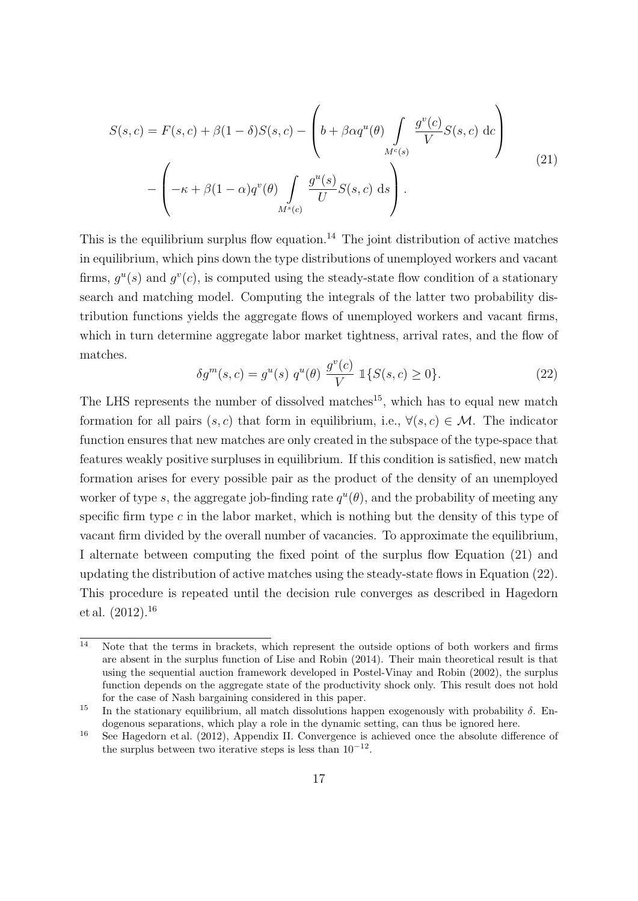<span id="page-16-2"></span>
$$
S(s,c) = F(s,c) + \beta(1-\delta)S(s,c) - \left(b + \beta\alpha q^u(\theta) \int_{M^c(s)} \frac{g^v(c)}{V} S(s,c) dc\right)
$$
  

$$
- \left(-\kappa + \beta(1-\alpha)q^v(\theta) \int_{M^s(c)} \frac{g^u(s)}{U} S(s,c) ds\right).
$$
 (21)

This is the equilibrium surplus flow equation.<sup>[14](#page-16-0)</sup> The joint distribution of active matches in equilibrium, which pins down the type distributions of unemployed workers and vacant firms,  $g^u(s)$  and  $g^v(c)$ , is computed using the steady-state flow condition of a stationary search and matching model. Computing the integrals of the latter two probability distribution functions yields the aggregate flows of unemployed workers and vacant firms, which in turn determine aggregate labor market tightness, arrival rates, and the flow of matches.

<span id="page-16-3"></span>
$$
\delta g^{m}(s,c) = g^{u}(s) q^{u}(\theta) \frac{g^{v}(c)}{V} \mathbb{1}\{S(s,c) \ge 0\}.
$$
 (22)

The LHS represents the number of dissolved matches<sup>[15](#page-16-1)</sup>, which has to equal new match formation for all pairs  $(s, c)$  that form in equilibrium, i.e.,  $\forall (s, c) \in \mathcal{M}$ . The indicator function ensures that new matches are only created in the subspace of the type-space that features weakly positive surpluses in equilibrium. If this condition is satisfied, new match formation arises for every possible pair as the product of the density of an unemployed worker of type s, the aggregate job-finding rate  $q^u(\theta)$ , and the probability of meeting any specific firm type  $c$  in the labor market, which is nothing but the density of this type of vacant firm divided by the overall number of vacancies. To approximate the equilibrium, I alternate between computing the fixed point of the surplus flow Equation [\(21\)](#page-16-2) and updating the distribution of active matches using the steady-state flows in Equation [\(22\)](#page-16-3). This procedure is repeated until the decision rule converges as described in [Hagedorn](#page-40-4) [et al.](#page-40-4)  $(2012).^{16}$  $(2012).^{16}$  $(2012).^{16}$  $(2012).^{16}$ 

<span id="page-16-0"></span> $14$  Note that the terms in brackets, which represent the outside options of both workers and firms are absent in the surplus function of [Lise and Robin](#page-41-1) [\(2014\)](#page-41-1). Their main theoretical result is that using the sequential auction framework developed in [Postel-Vinay and Robin](#page-41-2) [\(2002\)](#page-41-2), the surplus function depends on the aggregate state of the productivity shock only. This result does not hold for the case of Nash bargaining considered in this paper.

<span id="page-16-1"></span><sup>&</sup>lt;sup>15</sup> In the stationary equilibrium, all match dissolutions happen exogenously with probability  $\delta$ . Endogenous separations, which play a role in the dynamic setting, can thus be ignored here.

<span id="page-16-4"></span><sup>&</sup>lt;sup>16</sup> See [Hagedorn et al.](#page-40-4) [\(2012\)](#page-40-4), Appendix II. Convergence is achieved once the absolute difference of the surplus between two iterative steps is less than  $10^{-12}$ .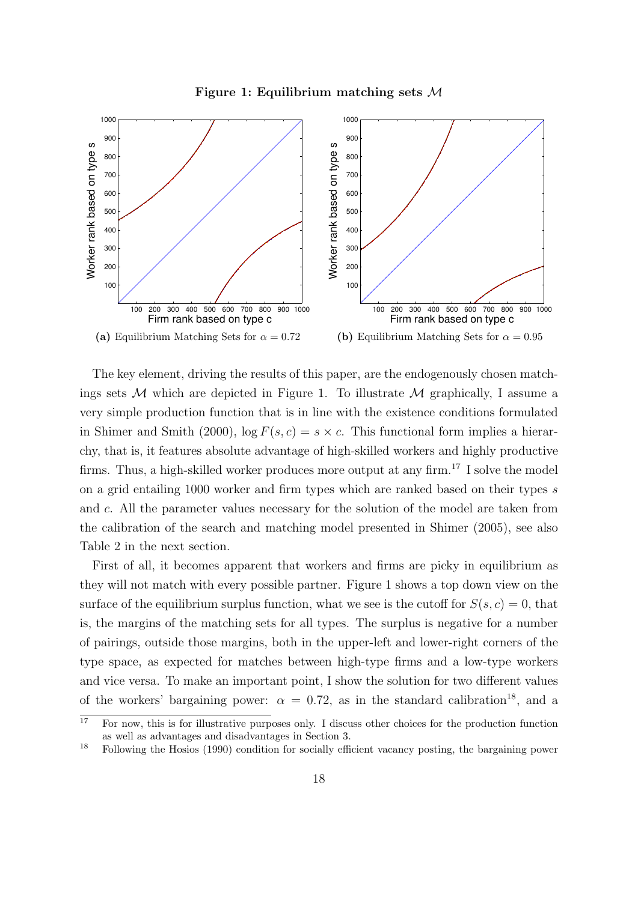Figure 1: Equilibrium matching sets M



<span id="page-17-0"></span>The key element, driving the results of this paper, are the endogenously chosen matchings sets  $\mathcal M$  which are depicted in Figure [1.](#page-17-0) To illustrate  $\mathcal M$  graphically, I assume a very simple production function that is in line with the existence conditions formulated in [Shimer and Smith](#page-42-1) [\(2000\)](#page-42-1),  $\log F(s, c) = s \times c$ . This functional form implies a hierarchy, that is, it features absolute advantage of high-skilled workers and highly productive firms. Thus, a high-skilled worker produces more output at any firm.<sup>[17](#page-17-1)</sup> I solve the model on a grid entailing 1000 worker and firm types which are ranked based on their types s and c. All the parameter values necessary for the solution of the model are taken from the calibration of the search and matching model presented in [Shimer](#page-42-0) [\(2005\)](#page-42-0), see also Table [2](#page-22-0) in the next section.

First of all, it becomes apparent that workers and firms are picky in equilibrium as they will not match with every possible partner. Figure [1](#page-17-0) shows a top down view on the surface of the equilibrium surplus function, what we see is the cutoff for  $S(s, c) = 0$ , that is, the margins of the matching sets for all types. The surplus is negative for a number of pairings, outside those margins, both in the upper-left and lower-right corners of the type space, as expected for matches between high-type firms and a low-type workers and vice versa. To make an important point, I show the solution for two different values of the workers' bargaining power:  $\alpha = 0.72$ , as in the standard calibration<sup>[18](#page-17-2)</sup>, and a

<span id="page-17-1"></span> $\overline{17}$  For now, this is for illustrative purposes only. I discuss other choices for the production function as well as advantages and disadvantages in Section [3.](#page-19-0)

<span id="page-17-2"></span><sup>18</sup> Following the [Hosios](#page-40-6) [\(1990\)](#page-40-6) condition for socially efficient vacancy posting, the bargaining power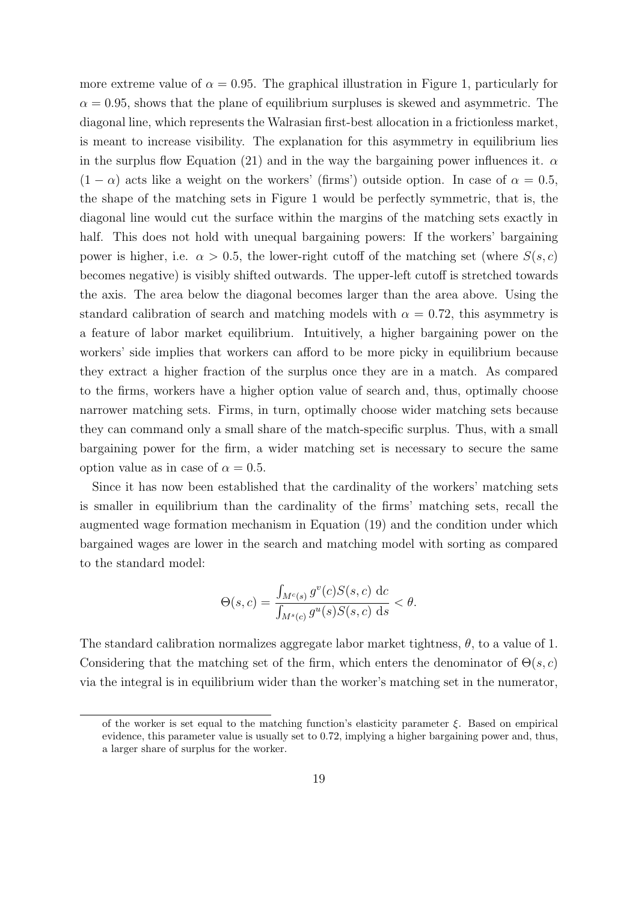more extreme value of  $\alpha = 0.95$ . The graphical illustration in Figure [1,](#page-17-0) particularly for  $\alpha = 0.95$ , shows that the plane of equilibrium surpluses is skewed and asymmetric. The diagonal line, which represents the Walrasian first-best allocation in a frictionless market, is meant to increase visibility. The explanation for this asymmetry in equilibrium lies in the surplus flow Equation [\(21\)](#page-16-2) and in the way the bargaining power influences it.  $\alpha$  $(1 - \alpha)$  acts like a weight on the workers' (firms') outside option. In case of  $\alpha = 0.5$ , the shape of the matching sets in Figure [1](#page-17-0) would be perfectly symmetric, that is, the diagonal line would cut the surface within the margins of the matching sets exactly in half. This does not hold with unequal bargaining powers: If the workers' bargaining power is higher, i.e.  $\alpha > 0.5$ , the lower-right cutoff of the matching set (where  $S(s, c)$ ) becomes negative) is visibly shifted outwards. The upper-left cutoff is stretched towards the axis. The area below the diagonal becomes larger than the area above. Using the standard calibration of search and matching models with  $\alpha = 0.72$ , this asymmetry is a feature of labor market equilibrium. Intuitively, a higher bargaining power on the workers' side implies that workers can afford to be more picky in equilibrium because they extract a higher fraction of the surplus once they are in a match. As compared to the firms, workers have a higher option value of search and, thus, optimally choose narrower matching sets. Firms, in turn, optimally choose wider matching sets because they can command only a small share of the match-specific surplus. Thus, with a small bargaining power for the firm, a wider matching set is necessary to secure the same option value as in case of  $\alpha = 0.5$ .

Since it has now been established that the cardinality of the workers' matching sets is smaller in equilibrium than the cardinality of the firms' matching sets, recall the augmented wage formation mechanism in Equation [\(19\)](#page-13-0) and the condition under which bargained wages are lower in the search and matching model with sorting as compared to the standard model:

$$
\Theta(s,c) = \frac{\int_{M^c(s)} g^v(c) S(s,c) \, \mathrm{d}c}{\int_{M^s(c)} g^u(s) S(s,c) \, \mathrm{d}s} < \theta.
$$

The standard calibration normalizes aggregate labor market tightness,  $\theta$ , to a value of 1. Considering that the matching set of the firm, which enters the denominator of  $\Theta(s, c)$ via the integral is in equilibrium wider than the worker's matching set in the numerator,

of the worker is set equal to the matching function's elasticity parameter  $\xi$ . Based on empirical evidence, this parameter value is usually set to 0.72, implying a higher bargaining power and, thus, a larger share of surplus for the worker.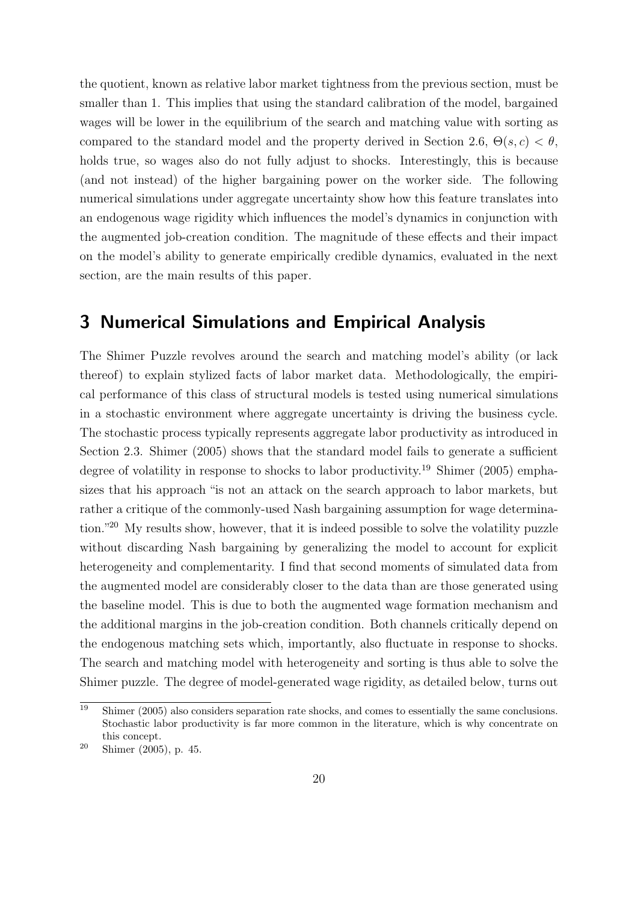the quotient, known as relative labor market tightness from the previous section, must be smaller than 1. This implies that using the standard calibration of the model, bargained wages will be lower in the equilibrium of the search and matching value with sorting as compared to the standard model and the property derived in Section [2.6,](#page-12-1)  $\Theta(s, c) < \theta$ , holds true, so wages also do not fully adjust to shocks. Interestingly, this is because (and not instead) of the higher bargaining power on the worker side. The following numerical simulations under aggregate uncertainty show how this feature translates into an endogenous wage rigidity which influences the model's dynamics in conjunction with the augmented job-creation condition. The magnitude of these effects and their impact on the model's ability to generate empirically credible dynamics, evaluated in the next section, are the main results of this paper.

### <span id="page-19-0"></span>3 Numerical Simulations and Empirical Analysis

The Shimer Puzzle revolves around the search and matching model's ability (or lack thereof) to explain stylized facts of labor market data. Methodologically, the empirical performance of this class of structural models is tested using numerical simulations in a stochastic environment where aggregate uncertainty is driving the business cycle. The stochastic process typically represents aggregate labor productivity as introduced in Section [2.3.](#page-6-2) [Shimer](#page-42-0) [\(2005\)](#page-42-0) shows that the standard model fails to generate a sufficient degree of volatility in response to shocks to labor productivity.[19](#page-19-1) [Shimer](#page-42-0) [\(2005\)](#page-42-0) emphasizes that his approach "is not an attack on the search approach to labor markets, but rather a critique of the commonly-used Nash bargaining assumption for wage determination."[20](#page-19-2) My results show, however, that it is indeed possible to solve the volatility puzzle without discarding Nash bargaining by generalizing the model to account for explicit heterogeneity and complementarity. I find that second moments of simulated data from the augmented model are considerably closer to the data than are those generated using the baseline model. This is due to both the augmented wage formation mechanism and the additional margins in the job-creation condition. Both channels critically depend on the endogenous matching sets which, importantly, also fluctuate in response to shocks. The search and matching model with heterogeneity and sorting is thus able to solve the Shimer puzzle. The degree of model-generated wage rigidity, as detailed below, turns out

<span id="page-19-1"></span> $\frac{19}{19}$  [Shimer](#page-42-0) [\(2005\)](#page-42-0) also considers separation rate shocks, and comes to essentially the same conclusions. Stochastic labor productivity is far more common in the literature, which is why concentrate on this concept.

<span id="page-19-2"></span><sup>20</sup> [Shimer](#page-42-0) [\(2005\)](#page-42-0), p. 45.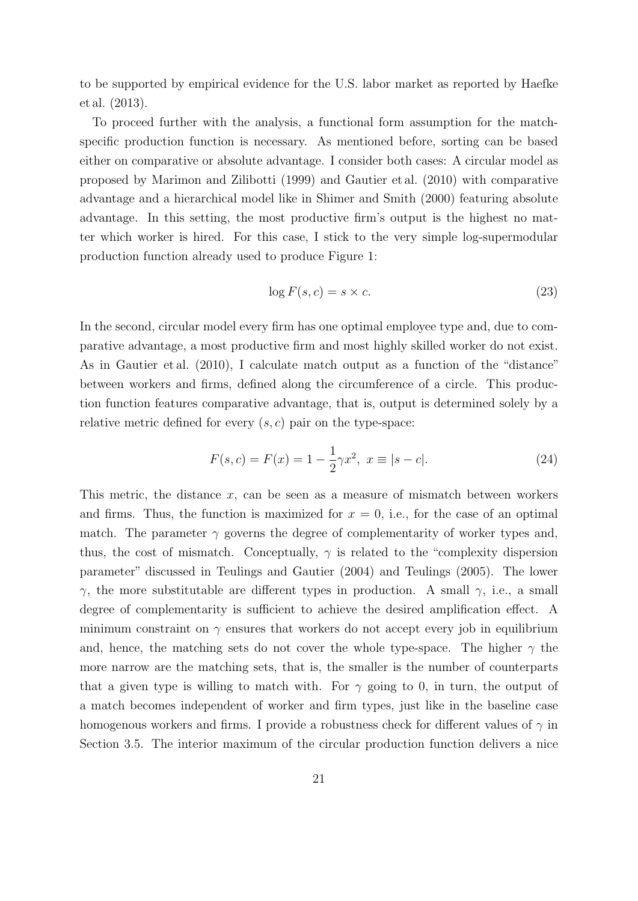to be supported by empirical evidence for the U.S. labor market as reported by [Haefke](#page-40-5) [et al.](#page-40-5) [\(2013\)](#page-40-5).

To proceed further with the analysis, a functional form assumption for the matchspecific production function is necessary. As mentioned before, sorting can be based either on comparative or absolute advantage. I consider both cases: A circular model as proposed by [Marimon and Zilibotti](#page-41-6) [\(1999\)](#page-41-6) and [Gautier et al.](#page-39-2) [\(2010\)](#page-39-2) with comparative advantage and a hierarchical model like in [Shimer and Smith](#page-42-1) [\(2000\)](#page-42-1) featuring absolute advantage. In this setting, the most productive firm's output is the highest no matter which worker is hired. For this case, I stick to the very simple log-supermodular production function already used to produce Figure [1:](#page-17-0)

$$
\log F(s, c) = s \times c. \tag{23}
$$

In the second, circular model every firm has one optimal employee type and, due to comparative advantage, a most productive firm and most highly skilled worker do not exist. As in [Gautier et al.](#page-39-2) [\(2010\)](#page-39-2), I calculate match output as a function of the "distance" between workers and firms, defined along the circumference of a circle. This production function features comparative advantage, that is, output is determined solely by a relative metric defined for every  $(s, c)$  pair on the type-space:

<span id="page-20-0"></span>
$$
F(s,c) = F(x) = 1 - \frac{1}{2}\gamma x^2, \ x \equiv |s - c|.
$$
 (24)

This metric, the distance x, can be seen as a measure of mismatch between workers and firms. Thus, the function is maximized for  $x = 0$ , i.e., for the case of an optimal match. The parameter  $\gamma$  governs the degree of complementarity of worker types and, thus, the cost of mismatch. Conceptually,  $\gamma$  is related to the "complexity dispersion parameter" discussed in [Teulings and Gautier](#page-42-3) [\(2004\)](#page-42-3) and [Teulings](#page-42-6) [\(2005\)](#page-42-6). The lower γ, the more substitutable are different types in production. A small γ, i.e., a small degree of complementarity is sufficient to achieve the desired amplification effect. A minimum constraint on  $\gamma$  ensures that workers do not accept every job in equilibrium and, hence, the matching sets do not cover the whole type-space. The higher  $\gamma$  the more narrow are the matching sets, that is, the smaller is the number of counterparts that a given type is willing to match with. For  $\gamma$  going to 0, in turn, the output of a match becomes independent of worker and firm types, just like in the baseline case homogenous workers and firms. I provide a robustness check for different values of  $\gamma$  in Section [3.5.](#page-29-0) The interior maximum of the circular production function delivers a nice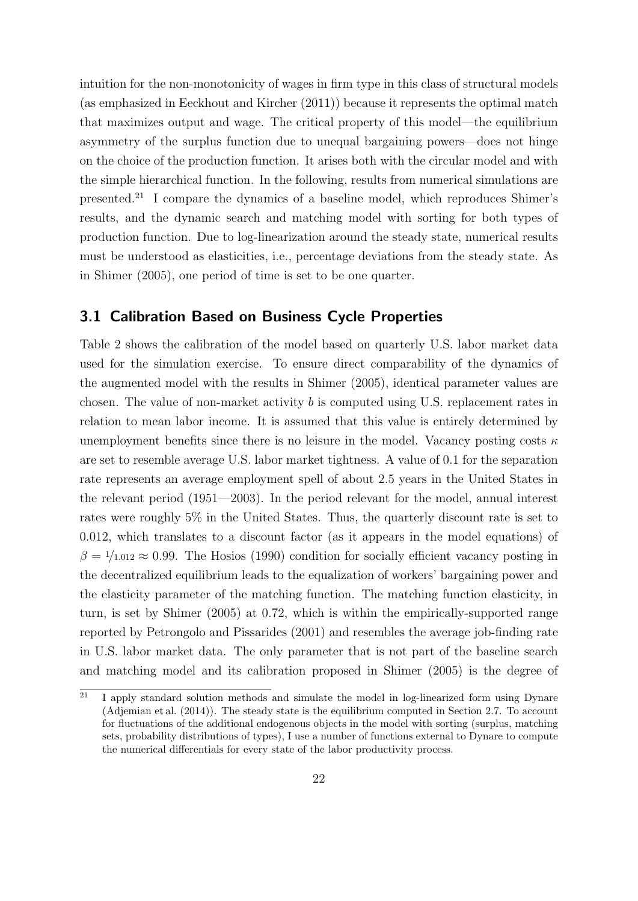intuition for the non-monotonicity of wages in firm type in this class of structural models (as emphasized in [Eeckhout and Kircher](#page-39-1) [\(2011\)](#page-39-1)) because it represents the optimal match that maximizes output and wage. The critical property of this model—the equilibrium asymmetry of the surplus function due to unequal bargaining powers—does not hinge on the choice of the production function. It arises both with the circular model and with the simple hierarchical function. In the following, results from numerical simulations are presented.[21](#page-21-0) I compare the dynamics of a baseline model, which reproduces Shimer's results, and the dynamic search and matching model with sorting for both types of production function. Due to log-linearization around the steady state, numerical results must be understood as elasticities, i.e., percentage deviations from the steady state. As in [Shimer](#page-42-0) [\(2005\)](#page-42-0), one period of time is set to be one quarter.

#### 3.1 Calibration Based on Business Cycle Properties

Table [2](#page-22-0) shows the calibration of the model based on quarterly U.S. labor market data used for the simulation exercise. To ensure direct comparability of the dynamics of the augmented model with the results in [Shimer](#page-42-0) [\(2005\)](#page-42-0), identical parameter values are chosen. The value of non-market activity b is computed using U.S. replacement rates in relation to mean labor income. It is assumed that this value is entirely determined by unemployment benefits since there is no leisure in the model. Vacancy posting costs  $\kappa$ are set to resemble average U.S. labor market tightness. A value of 0.1 for the separation rate represents an average employment spell of about 2.5 years in the United States in the relevant period (1951—2003). In the period relevant for the model, annual interest rates were roughly 5% in the United States. Thus, the quarterly discount rate is set to 0.012, which translates to a discount factor (as it appears in the model equations) of  $\beta = 1/1.012 \approx 0.99$ . The [Hosios](#page-40-6) [\(1990\)](#page-40-6) condition for socially efficient vacancy posting in the decentralized equilibrium leads to the equalization of workers' bargaining power and the elasticity parameter of the matching function. The matching function elasticity, in turn, is set by [Shimer](#page-42-0) [\(2005\)](#page-42-0) at 0.72, which is within the empirically-supported range reported by [Petrongolo and Pissarides](#page-41-7) [\(2001\)](#page-41-7) and resembles the average job-finding rate in U.S. labor market data. The only parameter that is not part of the baseline search and matching model and its calibration proposed in [Shimer](#page-42-0) [\(2005\)](#page-42-0) is the degree of

<span id="page-21-0"></span> $\overline{21}$  I apply standard solution methods and simulate the model in log-linearized form using Dynare [\(Adjemian et al.](#page-38-4) [\(2014\)](#page-38-4)). The steady state is the equilibrium computed in Section [2.7.](#page-15-0) To account for fluctuations of the additional endogenous objects in the model with sorting (surplus, matching sets, probability distributions of types), I use a number of functions external to Dynare to compute the numerical differentials for every state of the labor productivity process.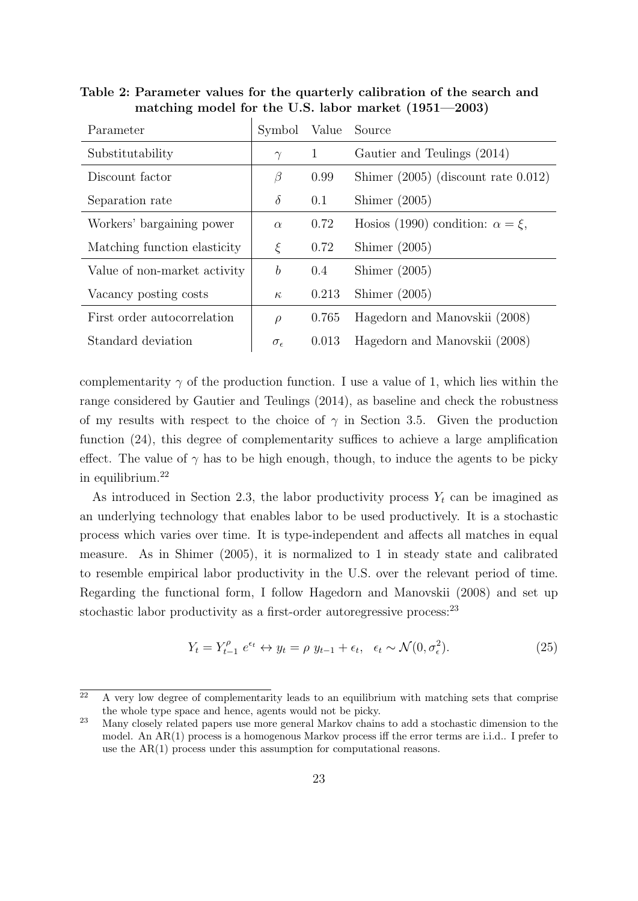<span id="page-22-0"></span>Table 2: Parameter values for the quarterly calibration of the search and matching model for the U.S. labor market (1951—2003)

| Symbol              | Value | Source                                    |
|---------------------|-------|-------------------------------------------|
| $\gamma$            | 1     | Gautier and Teulings (2014)               |
| β                   | 0.99  | Shimer $(2005)$ (discount rate 0.012)     |
| $\delta$            | 0.1   | Shimer $(2005)$                           |
| $\alpha$            | 0.72  | Hosios (1990) condition: $\alpha = \xi$ , |
| ξ                   | 0.72  | Shimer $(2005)$                           |
| $\boldsymbol{b}$    | 0.4   | Shimer $(2005)$                           |
| $\kappa$            | 0.213 | Shimer $(2005)$                           |
| $\rho$              | 0.765 | Hagedorn and Manovskii (2008)             |
| $\sigma_{\epsilon}$ | 0.013 | Hagedorn and Manovskii (2008)             |
|                     |       |                                           |

complementarity  $\gamma$  of the production function. I use a value of 1, which lies within the range considered by [Gautier and Teulings](#page-39-3) [\(2014\)](#page-39-3), as baseline and check the robustness of my results with respect to the choice of  $\gamma$  in Section [3.5.](#page-29-0) Given the production function  $(24)$ , this degree of complementarity suffices to achieve a large amplification effect. The value of  $\gamma$  has to be high enough, though, to induce the agents to be picky in equilibrium.[22](#page-22-1)

As introduced in Section [2.3,](#page-6-2) the labor productivity process  $Y_t$  can be imagined as an underlying technology that enables labor to be used productively. It is a stochastic process which varies over time. It is type-independent and affects all matches in equal measure. As in [Shimer](#page-42-0) [\(2005\)](#page-42-0), it is normalized to 1 in steady state and calibrated to resemble empirical labor productivity in the U.S. over the relevant period of time. Regarding the functional form, I follow [Hagedorn and Manovskii](#page-40-1) [\(2008\)](#page-40-1) and set up stochastic labor productivity as a first-order autoregressive process:<sup>[23](#page-22-2)</sup>

$$
Y_t = Y_{t-1}^{\rho} e^{\epsilon_t} \leftrightarrow y_t = \rho y_{t-1} + \epsilon_t, \quad \epsilon_t \sim \mathcal{N}(0, \sigma_{\epsilon}^2). \tag{25}
$$

<span id="page-22-1"></span> $\overline{a^2}$  A very low degree of complementarity leads to an equilibrium with matching sets that comprise the whole type space and hence, agents would not be picky.

<span id="page-22-2"></span><sup>&</sup>lt;sup>23</sup> Many closely related papers use more general Markov chains to add a stochastic dimension to the model. An AR(1) process is a homogenous Markov process iff the error terms are i.i.d.. I prefer to use the AR(1) process under this assumption for computational reasons.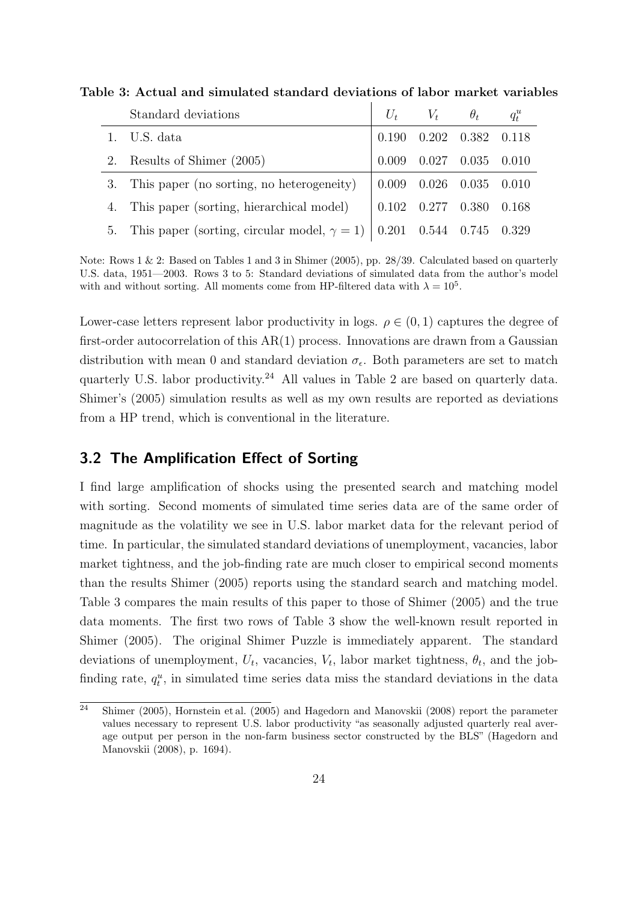| Standard deviations                                                              |                                                                    | $U_t$ $V_t$ $\theta_t$ $q_t^u$  |  |
|----------------------------------------------------------------------------------|--------------------------------------------------------------------|---------------------------------|--|
| 1. U.S. data                                                                     |                                                                    | $0.190$ $0.202$ $0.382$ $0.118$ |  |
| 2. Results of Shimer (2005)                                                      |                                                                    | $0.009$ $0.027$ $0.035$ $0.010$ |  |
| 3. This paper (no sorting, no heterogeneity) $\vert$ 0.009 0.026 0.035 0.010     |                                                                    |                                 |  |
| 4. This paper (sorting, hierarchical model)                                      | $\begin{array}{cccc} \n0.102 & 0.277 & 0.380 & 0.168\n\end{array}$ |                                 |  |
| 5. This paper (sorting, circular model, $\gamma = 1$ )   0.201 0.544 0.745 0.329 |                                                                    |                                 |  |

<span id="page-23-1"></span>Table 3: Actual and simulated standard deviations of labor market variables

Note: Rows 1 & 2: Based on Tables 1 and 3 in [Shimer](#page-42-0) [\(2005\)](#page-42-0), pp. 28/39. Calculated based on quarterly U.S. data, 1951—2003. Rows 3 to 5: Standard deviations of simulated data from the author's model with and without sorting. All moments come from HP-filtered data with  $\lambda = 10^5$ .

Lower-case letters represent labor productivity in logs.  $\rho \in (0, 1)$  captures the degree of first-order autocorrelation of this  $AR(1)$  process. Innovations are drawn from a Gaussian distribution with mean 0 and standard deviation  $\sigma_{\epsilon}$ . Both parameters are set to match quarterly U.S. labor productivity.[24](#page-23-0) All values in Table [2](#page-22-0) are based on quarterly data. Shimer's (2005) simulation results as well as my own results are reported as deviations from a HP trend, which is conventional in the literature.

#### 3.2 The Amplification Effect of Sorting

I find large amplification of shocks using the presented search and matching model with sorting. Second moments of simulated time series data are of the same order of magnitude as the volatility we see in U.S. labor market data for the relevant period of time. In particular, the simulated standard deviations of unemployment, vacancies, labor market tightness, and the job-finding rate are much closer to empirical second moments than the results [Shimer](#page-42-0) [\(2005\)](#page-42-0) reports using the standard search and matching model. Table [3](#page-23-1) compares the main results of this paper to those of [Shimer](#page-42-0) [\(2005\)](#page-42-0) and the true data moments. The first two rows of Table [3](#page-23-1) show the well-known result reported in [Shimer](#page-42-0) [\(2005\)](#page-42-0). The original Shimer Puzzle is immediately apparent. The standard deviations of unemployment,  $U_t$ , vacancies,  $V_t$ , labor market tightness,  $\theta_t$ , and the jobfinding rate,  $q_t^u$ , in simulated time series data miss the standard deviations in the data

<span id="page-23-0"></span> $\overline{a^2}$  [Shimer](#page-42-0) [\(2005\)](#page-40-3), [Hornstein et al.](#page-40-3) (2005) and [Hagedorn and Manovskii](#page-40-1) [\(2008\)](#page-40-1) report the parameter values necessary to represent U.S. labor productivity "as seasonally adjusted quarterly real average output per person in the non-farm business sector constructed by the BLS" [\(Hagedorn and](#page-40-1) [Manovskii](#page-40-1) [\(2008\)](#page-40-1), p. 1694).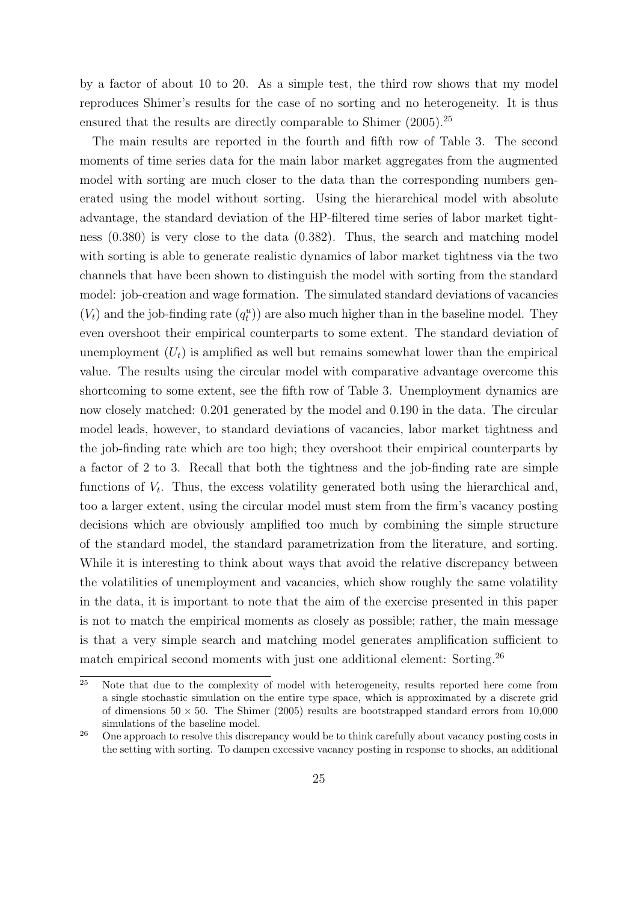by a factor of about 10 to 20. As a simple test, the third row shows that my model reproduces Shimer's results for the case of no sorting and no heterogeneity. It is thus ensured that the results are directly comparable to [Shimer](#page-42-0)  $(2005)$ .<sup>[25](#page-24-0)</sup>

The main results are reported in the fourth and fifth row of Table [3.](#page-23-1) The second moments of time series data for the main labor market aggregates from the augmented model with sorting are much closer to the data than the corresponding numbers generated using the model without sorting. Using the hierarchical model with absolute advantage, the standard deviation of the HP-filtered time series of labor market tightness (0.380) is very close to the data (0.382). Thus, the search and matching model with sorting is able to generate realistic dynamics of labor market tightness via the two channels that have been shown to distinguish the model with sorting from the standard model: job-creation and wage formation. The simulated standard deviations of vacancies  $(V<sub>t</sub>)$  and the job-finding rate  $(q<sub>t</sub><sup>u</sup>)$  are also much higher than in the baseline model. They even overshoot their empirical counterparts to some extent. The standard deviation of unemployment  $(U_t)$  is amplified as well but remains somewhat lower than the empirical value. The results using the circular model with comparative advantage overcome this shortcoming to some extent, see the fifth row of Table [3.](#page-23-1) Unemployment dynamics are now closely matched: 0.201 generated by the model and 0.190 in the data. The circular model leads, however, to standard deviations of vacancies, labor market tightness and the job-finding rate which are too high; they overshoot their empirical counterparts by a factor of 2 to 3. Recall that both the tightness and the job-finding rate are simple functions of  $V_t$ . Thus, the excess volatility generated both using the hierarchical and, too a larger extent, using the circular model must stem from the firm's vacancy posting decisions which are obviously amplified too much by combining the simple structure of the standard model, the standard parametrization from the literature, and sorting. While it is interesting to think about ways that avoid the relative discrepancy between the volatilities of unemployment and vacancies, which show roughly the same volatility in the data, it is important to note that the aim of the exercise presented in this paper is not to match the empirical moments as closely as possible; rather, the main message is that a very simple search and matching model generates amplification sufficient to match empirical second moments with just one additional element: Sorting.<sup>[26](#page-24-1)</sup>

<span id="page-24-0"></span> $25$  Note that due to the complexity of model with heterogeneity, results reported here come from a single stochastic simulation on the entire type space, which is approximated by a discrete grid of dimensions  $50 \times 50$ . The [Shimer](#page-42-0) [\(2005\)](#page-42-0) results are bootstrapped standard errors from 10,000 simulations of the baseline model.

<span id="page-24-1"></span><sup>&</sup>lt;sup>26</sup> One approach to resolve this discrepancy would be to think carefully about vacancy posting costs in the setting with sorting. To dampen excessive vacancy posting in response to shocks, an additional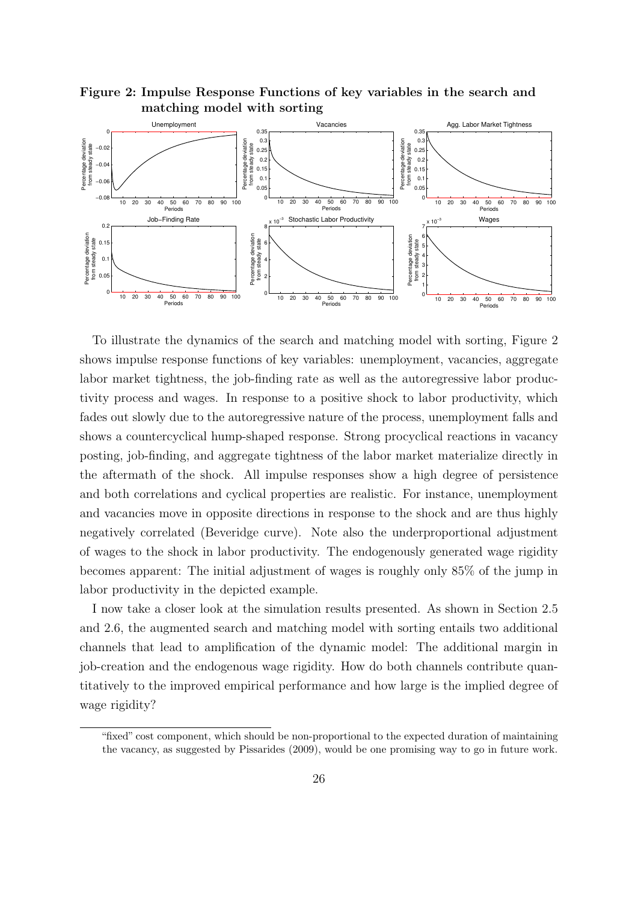

<span id="page-25-0"></span>Figure 2: Impulse Response Functions of key variables in the search and matching model with sorting

To illustrate the dynamics of the search and matching model with sorting, Figure [2](#page-25-0) shows impulse response functions of key variables: unemployment, vacancies, aggregate labor market tightness, the job-finding rate as well as the autoregressive labor productivity process and wages. In response to a positive shock to labor productivity, which fades out slowly due to the autoregressive nature of the process, unemployment falls and shows a countercyclical hump-shaped response. Strong procyclical reactions in vacancy posting, job-finding, and aggregate tightness of the labor market materialize directly in the aftermath of the shock. All impulse responses show a high degree of persistence and both correlations and cyclical properties are realistic. For instance, unemployment and vacancies move in opposite directions in response to the shock and are thus highly negatively correlated (Beveridge curve). Note also the underproportional adjustment of wages to the shock in labor productivity. The endogenously generated wage rigidity becomes apparent: The initial adjustment of wages is roughly only 85% of the jump in labor productivity in the depicted example.

I now take a closer look at the simulation results presented. As shown in Section [2.5](#page-11-4) and [2.6,](#page-12-1) the augmented search and matching model with sorting entails two additional channels that lead to amplification of the dynamic model: The additional margin in job-creation and the endogenous wage rigidity. How do both channels contribute quantitatively to the improved empirical performance and how large is the implied degree of wage rigidity?

<sup>&</sup>quot;fixed" cost component, which should be non-proportional to the expected duration of maintaining the vacancy, as suggested by [Pissarides](#page-41-8) [\(2009\)](#page-41-8), would be one promising way to go in future work.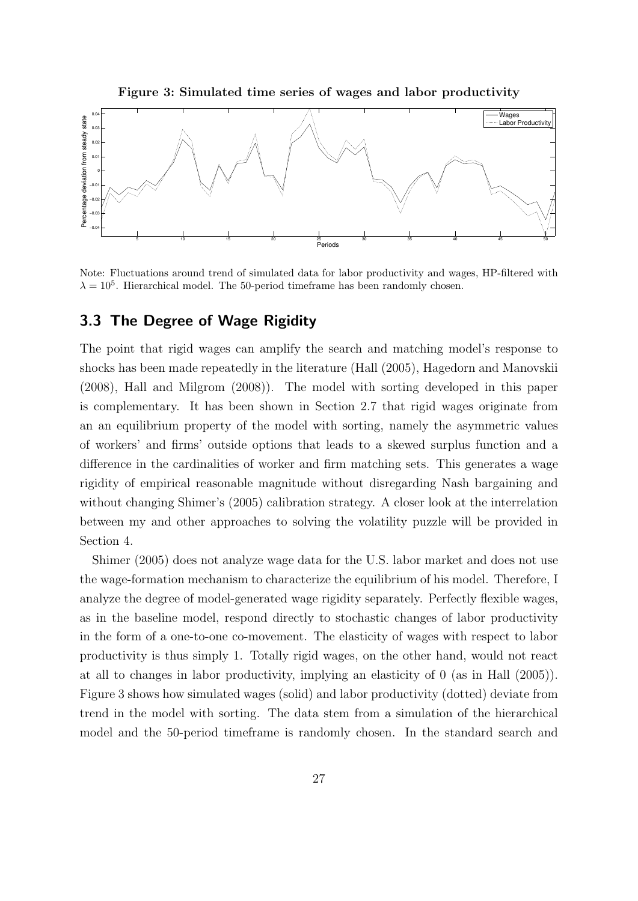Figure 3: Simulated time series of wages and labor productivity

<span id="page-26-0"></span>

Note: Fluctuations around trend of simulated data for labor productivity and wages, HP-filtered with  $\lambda = 10^5$ . Hierarchical model. The 50-period timeframe has been randomly chosen.

#### 3.3 The Degree of Wage Rigidity

The point that rigid wages can amplify the search and matching model's response to shocks has been made repeatedly in the literature [\(Hall](#page-40-0) [\(2005\)](#page-40-0), [Hagedorn and Manovskii](#page-40-1) [\(2008\)](#page-40-1), [Hall and Milgrom](#page-40-2) [\(2008\)](#page-40-2)). The model with sorting developed in this paper is complementary. It has been shown in Section [2.7](#page-15-0) that rigid wages originate from an an equilibrium property of the model with sorting, namely the asymmetric values of workers' and firms' outside options that leads to a skewed surplus function and a difference in the cardinalities of worker and firm matching sets. This generates a wage rigidity of empirical reasonable magnitude without disregarding Nash bargaining and without changing Shimer's (2005) calibration strategy. A closer look at the interrelation between my and other approaches to solving the volatility puzzle will be provided in Section [4.](#page-31-0)

[Shimer](#page-42-0) [\(2005\)](#page-42-0) does not analyze wage data for the U.S. labor market and does not use the wage-formation mechanism to characterize the equilibrium of his model. Therefore, I analyze the degree of model-generated wage rigidity separately. Perfectly flexible wages, as in the baseline model, respond directly to stochastic changes of labor productivity in the form of a one-to-one co-movement. The elasticity of wages with respect to labor productivity is thus simply 1. Totally rigid wages, on the other hand, would not react at all to changes in labor productivity, implying an elasticity of 0 (as in [Hall](#page-40-0) [\(2005\)](#page-40-0)). Figure [3](#page-26-0) shows how simulated wages (solid) and labor productivity (dotted) deviate from trend in the model with sorting. The data stem from a simulation of the hierarchical model and the 50-period timeframe is randomly chosen. In the standard search and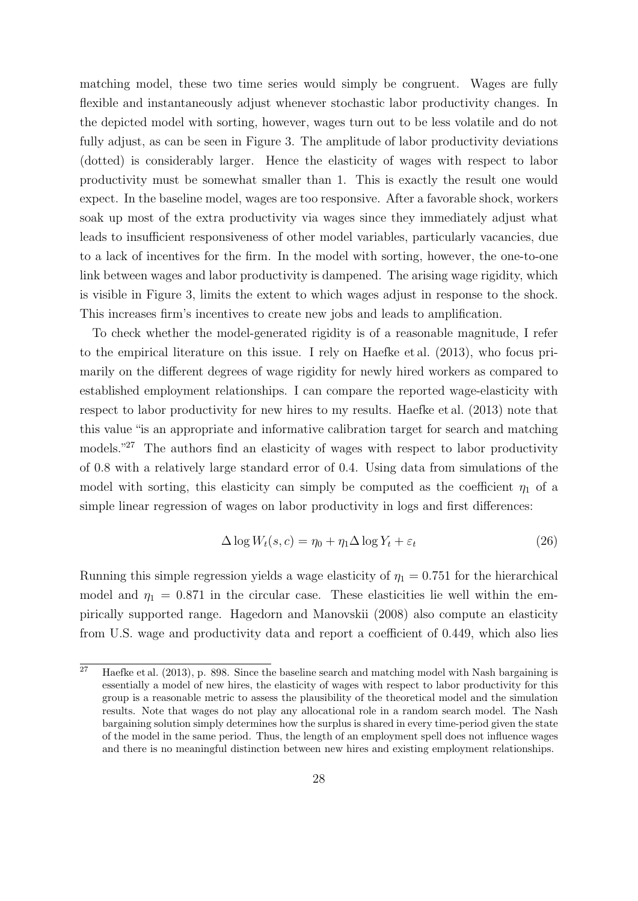matching model, these two time series would simply be congruent. Wages are fully flexible and instantaneously adjust whenever stochastic labor productivity changes. In the depicted model with sorting, however, wages turn out to be less volatile and do not fully adjust, as can be seen in Figure [3.](#page-26-0) The amplitude of labor productivity deviations (dotted) is considerably larger. Hence the elasticity of wages with respect to labor productivity must be somewhat smaller than 1. This is exactly the result one would expect. In the baseline model, wages are too responsive. After a favorable shock, workers soak up most of the extra productivity via wages since they immediately adjust what leads to insufficient responsiveness of other model variables, particularly vacancies, due to a lack of incentives for the firm. In the model with sorting, however, the one-to-one link between wages and labor productivity is dampened. The arising wage rigidity, which is visible in Figure [3,](#page-26-0) limits the extent to which wages adjust in response to the shock. This increases firm's incentives to create new jobs and leads to amplification.

To check whether the model-generated rigidity is of a reasonable magnitude, I refer to the empirical literature on this issue. I rely on [Haefke et al.](#page-40-5) [\(2013\)](#page-40-5), who focus primarily on the different degrees of wage rigidity for newly hired workers as compared to established employment relationships. I can compare the reported wage-elasticity with respect to labor productivity for new hires to my results. [Haefke et al.](#page-40-5) [\(2013\)](#page-40-5) note that this value "is an appropriate and informative calibration target for search and matching models."<sup>[27](#page-27-0)</sup> The authors find an elasticity of wages with respect to labor productivity of 0.8 with a relatively large standard error of 0.4. Using data from simulations of the model with sorting, this elasticity can simply be computed as the coefficient  $\eta_1$  of a simple linear regression of wages on labor productivity in logs and first differences:

$$
\Delta \log W_t(s, c) = \eta_0 + \eta_1 \Delta \log Y_t + \varepsilon_t \tag{26}
$$

Running this simple regression yields a wage elasticity of  $\eta_1 = 0.751$  for the hierarchical model and  $\eta_1 = 0.871$  in the circular case. These elasticities lie well within the empirically supported range. [Hagedorn and Manovskii](#page-40-1) [\(2008\)](#page-40-1) also compute an elasticity from U.S. wage and productivity data and report a coefficient of 0.449, which also lies

<span id="page-27-0"></span><sup>&</sup>lt;sup>27</sup> [Haefke et al.](#page-40-5)  $(2013)$ , p. 898. Since the baseline search and matching model with Nash bargaining is essentially a model of new hires, the elasticity of wages with respect to labor productivity for this group is a reasonable metric to assess the plausibility of the theoretical model and the simulation results. Note that wages do not play any allocational role in a random search model. The Nash bargaining solution simply determines how the surplus is shared in every time-period given the state of the model in the same period. Thus, the length of an employment spell does not influence wages and there is no meaningful distinction between new hires and existing employment relationships.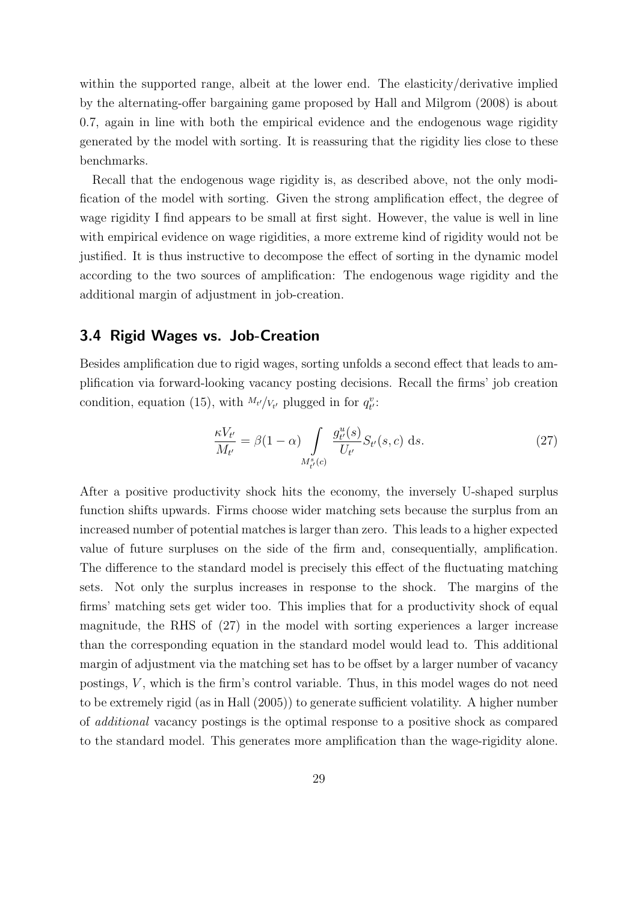within the supported range, albeit at the lower end. The elasticity/derivative implied by the alternating-offer bargaining game proposed by [Hall and Milgrom](#page-40-2) [\(2008\)](#page-40-2) is about 0.7, again in line with both the empirical evidence and the endogenous wage rigidity generated by the model with sorting. It is reassuring that the rigidity lies close to these benchmarks.

Recall that the endogenous wage rigidity is, as described above, not the only modification of the model with sorting. Given the strong amplification effect, the degree of wage rigidity I find appears to be small at first sight. However, the value is well in line with empirical evidence on wage rigidities, a more extreme kind of rigidity would not be justified. It is thus instructive to decompose the effect of sorting in the dynamic model according to the two sources of amplification: The endogenous wage rigidity and the additional margin of adjustment in job-creation.

#### 3.4 Rigid Wages vs. Job-Creation

Besides amplification due to rigid wages, sorting unfolds a second effect that leads to amplification via forward-looking vacancy posting decisions. Recall the firms' job creation condition, equation [\(15\)](#page-11-1), with  $M_{t'}/V_{t'}$  plugged in for  $q_{t'}^v$ :

<span id="page-28-0"></span>
$$
\frac{\kappa V_{t'}}{M_{t'}} = \beta (1 - \alpha) \int\limits_{M_{t'}^s(c)} \frac{g_{t'}^u(s)}{U_{t'}} S_{t'}(s, c) \, \mathrm{d}s. \tag{27}
$$

After a positive productivity shock hits the economy, the inversely U-shaped surplus function shifts upwards. Firms choose wider matching sets because the surplus from an increased number of potential matches is larger than zero. This leads to a higher expected value of future surpluses on the side of the firm and, consequentially, amplification. The difference to the standard model is precisely this effect of the fluctuating matching sets. Not only the surplus increases in response to the shock. The margins of the firms' matching sets get wider too. This implies that for a productivity shock of equal magnitude, the RHS of [\(27\)](#page-28-0) in the model with sorting experiences a larger increase than the corresponding equation in the standard model would lead to. This additional margin of adjustment via the matching set has to be offset by a larger number of vacancy postings,  $V$ , which is the firm's control variable. Thus, in this model wages do not need to be extremely rigid (as in [Hall](#page-40-0) [\(2005\)](#page-40-0)) to generate sufficient volatility. A higher number of additional vacancy postings is the optimal response to a positive shock as compared to the standard model. This generates more amplification than the wage-rigidity alone.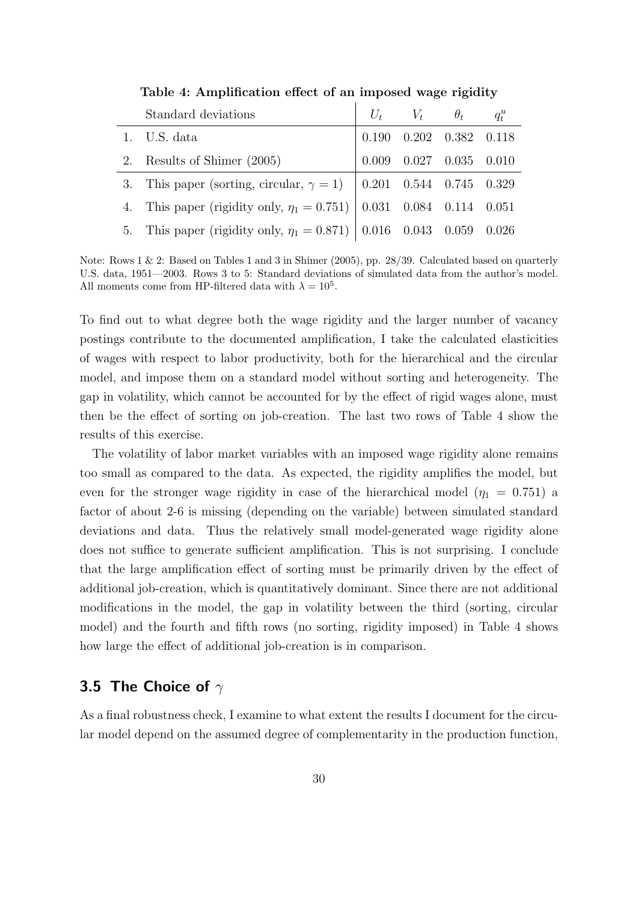<span id="page-29-1"></span>

| Standard deviations                                                                                             | $U_t$ $V_t$ $\theta_t$ $q_t^u$              |  |
|-----------------------------------------------------------------------------------------------------------------|---------------------------------------------|--|
| 1. U.S. data                                                                                                    | $0.190$ $0.202$ $0.382$ $0.118$             |  |
| 2. Results of Shimer (2005)                                                                                     | $0.009 \quad 0.027 \quad 0.035 \quad 0.010$ |  |
| 3. This paper (sorting, circular, $\gamma = 1$ ) $\begin{array}{ccc} 0.201 & 0.544 & 0.745 & 0.329 \end{array}$ |                                             |  |
| 4. This paper (rigidity only, $\eta_1 = 0.751$ ) $\vert 0.031 \, 0.084 \, 0.114 \, 0.051$                       |                                             |  |
| 5. This paper (rigidity only, $\eta_1 = 0.871$ ) $\vert 0.016 \, 0.043 \, 0.059 \, 0.026$                       |                                             |  |

Table 4: Amplification effect of an imposed wage rigidity

Note: Rows 1 & 2: Based on Tables 1 and 3 in [Shimer](#page-42-0) [\(2005\)](#page-42-0), pp. 28/39. Calculated based on quarterly U.S. data, 1951—2003. Rows 3 to 5: Standard deviations of simulated data from the author's model. All moments come from HP-filtered data with  $\lambda = 10^5$ .

To find out to what degree both the wage rigidity and the larger number of vacancy postings contribute to the documented amplification, I take the calculated elasticities of wages with respect to labor productivity, both for the hierarchical and the circular model, and impose them on a standard model without sorting and heterogeneity. The gap in volatility, which cannot be accounted for by the effect of rigid wages alone, must then be the effect of sorting on job-creation. The last two rows of Table [4](#page-29-1) show the results of this exercise.

The volatility of labor market variables with an imposed wage rigidity alone remains too small as compared to the data. As expected, the rigidity amplifies the model, but even for the stronger wage rigidity in case of the hierarchical model ( $\eta_1 = 0.751$ ) a factor of about 2-6 is missing (depending on the variable) between simulated standard deviations and data. Thus the relatively small model-generated wage rigidity alone does not suffice to generate sufficient amplification. This is not surprising. I conclude that the large amplification effect of sorting must be primarily driven by the effect of additional job-creation, which is quantitatively dominant. Since there are not additional modifications in the model, the gap in volatility between the third (sorting, circular model) and the fourth and fifth rows (no sorting, rigidity imposed) in Table [4](#page-29-1) shows how large the effect of additional job-creation is in comparison.

#### <span id="page-29-0"></span>3.5 The Choice of  $\gamma$

As a final robustness check, I examine to what extent the results I document for the circular model depend on the assumed degree of complementarity in the production function,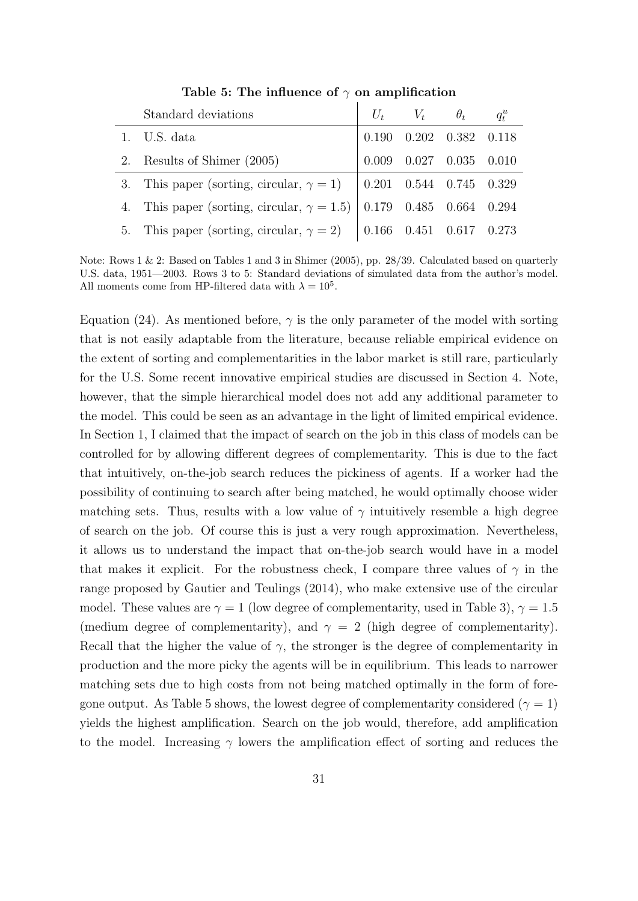<span id="page-30-0"></span>

| Standard deviations                                                        |                                                                 | $U_t$ $V_t$ $\theta_t$ $q_t^u$ |  |
|----------------------------------------------------------------------------|-----------------------------------------------------------------|--------------------------------|--|
| 1. U.S. data                                                               | $\begin{array}{ ccc} 0.190 & 0.202 & 0.382 & 0.118 \end{array}$ |                                |  |
| 2. Results of Shimer (2005)                                                |                                                                 | $0.009$ 0.027 0.035 0.010      |  |
| 3. This paper (sorting, circular, $\gamma = 1$ )   0.201 0.544 0.745 0.329 |                                                                 |                                |  |
| 4. This paper (sorting, circular, $\gamma = 1.5$ ) 0.179 0.485 0.664 0.294 |                                                                 |                                |  |
| 5. This paper (sorting, circular, $\gamma = 2$ )   0.166 0.451 0.617 0.273 |                                                                 |                                |  |

Table 5: The influence of  $\gamma$  on amplification

Note: Rows 1 & 2: Based on Tables 1 and 3 in [Shimer](#page-42-0) [\(2005\)](#page-42-0), pp. 28/39. Calculated based on quarterly U.S. data, 1951—2003. Rows 3 to 5: Standard deviations of simulated data from the author's model. All moments come from HP-filtered data with  $\lambda = 10^5$ .

Equation [\(24\)](#page-20-0). As mentioned before,  $\gamma$  is the only parameter of the model with sorting that is not easily adaptable from the literature, because reliable empirical evidence on the extent of sorting and complementarities in the labor market is still rare, particularly for the U.S. Some recent innovative empirical studies are discussed in Section [4.](#page-31-0) Note, however, that the simple hierarchical model does not add any additional parameter to the model. This could be seen as an advantage in the light of limited empirical evidence. In Section [1,](#page-1-2) I claimed that the impact of search on the job in this class of models can be controlled for by allowing different degrees of complementarity. This is due to the fact that intuitively, on-the-job search reduces the pickiness of agents. If a worker had the possibility of continuing to search after being matched, he would optimally choose wider matching sets. Thus, results with a low value of  $\gamma$  intuitively resemble a high degree of search on the job. Of course this is just a very rough approximation. Nevertheless, it allows us to understand the impact that on-the-job search would have in a model that makes it explicit. For the robustness check, I compare three values of  $\gamma$  in the range proposed by [Gautier and Teulings](#page-39-3) [\(2014\)](#page-39-3), who make extensive use of the circular model. These values are  $\gamma = 1$  (low degree of complementarity, used in Table [3\)](#page-23-1),  $\gamma = 1.5$ (medium degree of complementarity), and  $\gamma = 2$  (high degree of complementarity). Recall that the higher the value of  $\gamma$ , the stronger is the degree of complementarity in production and the more picky the agents will be in equilibrium. This leads to narrower matching sets due to high costs from not being matched optimally in the form of fore-gone output. As Table [5](#page-30-0) shows, the lowest degree of complementarity considered ( $\gamma = 1$ ) yields the highest amplification. Search on the job would, therefore, add amplification to the model. Increasing  $\gamma$  lowers the amplification effect of sorting and reduces the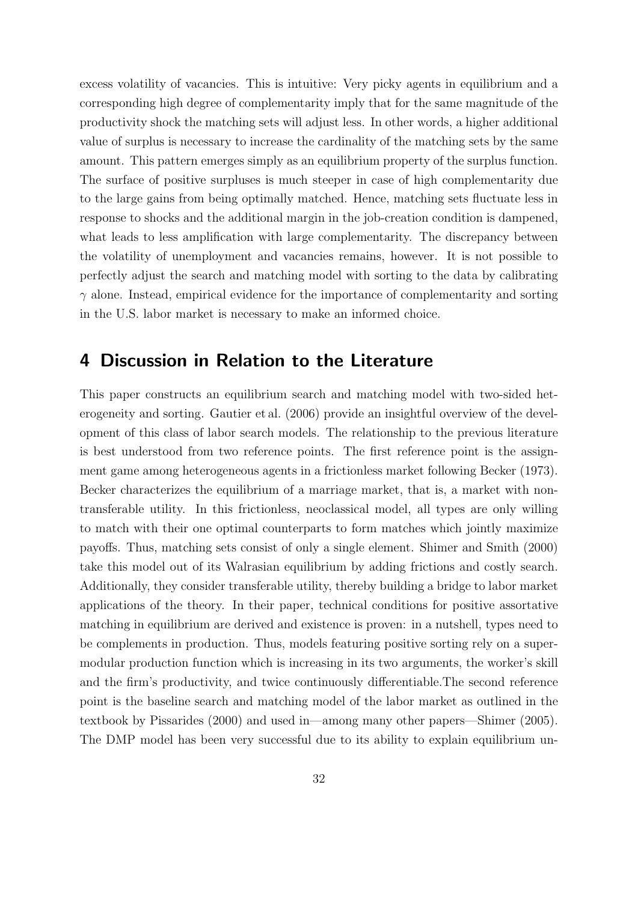excess volatility of vacancies. This is intuitive: Very picky agents in equilibrium and a corresponding high degree of complementarity imply that for the same magnitude of the productivity shock the matching sets will adjust less. In other words, a higher additional value of surplus is necessary to increase the cardinality of the matching sets by the same amount. This pattern emerges simply as an equilibrium property of the surplus function. The surface of positive surpluses is much steeper in case of high complementarity due to the large gains from being optimally matched. Hence, matching sets fluctuate less in response to shocks and the additional margin in the job-creation condition is dampened, what leads to less amplification with large complementarity. The discrepancy between the volatility of unemployment and vacancies remains, however. It is not possible to perfectly adjust the search and matching model with sorting to the data by calibrating  $\gamma$  alone. Instead, empirical evidence for the importance of complementarity and sorting in the U.S. labor market is necessary to make an informed choice.

## <span id="page-31-0"></span>4 Discussion in Relation to the Literature

This paper constructs an equilibrium search and matching model with two-sided heterogeneity and sorting. [Gautier et al.](#page-39-4) [\(2006\)](#page-39-4) provide an insightful overview of the development of this class of labor search models. The relationship to the previous literature is best understood from two reference points. The first reference point is the assignment game among heterogeneous agents in a frictionless market following [Becker](#page-38-3) [\(1973\)](#page-38-3). Becker characterizes the equilibrium of a marriage market, that is, a market with nontransferable utility. In this frictionless, neoclassical model, all types are only willing to match with their one optimal counterparts to form matches which jointly maximize payoffs. Thus, matching sets consist of only a single element. [Shimer and Smith](#page-42-1) [\(2000\)](#page-42-1) take this model out of its Walrasian equilibrium by adding frictions and costly search. Additionally, they consider transferable utility, thereby building a bridge to labor market applications of the theory. In their paper, technical conditions for positive assortative matching in equilibrium are derived and existence is proven: in a nutshell, types need to be complements in production. Thus, models featuring positive sorting rely on a supermodular production function which is increasing in its two arguments, the worker's skill and the firm's productivity, and twice continuously differentiable.The second reference point is the baseline search and matching model of the labor market as outlined in the textbook by [Pissarides](#page-41-4) [\(2000\)](#page-41-4) and used in—among many other papers[—Shimer](#page-42-0) [\(2005\)](#page-42-0). The DMP model has been very successful due to its ability to explain equilibrium un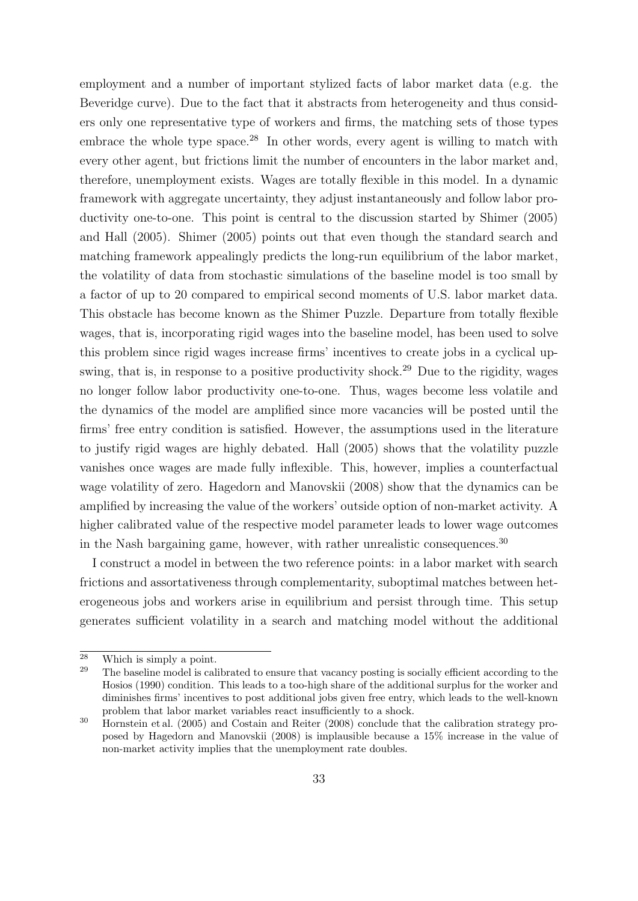employment and a number of important stylized facts of labor market data (e.g. the Beveridge curve). Due to the fact that it abstracts from heterogeneity and thus considers only one representative type of workers and firms, the matching sets of those types embrace the whole type space.<sup>[28](#page-32-0)</sup> In other words, every agent is willing to match with every other agent, but frictions limit the number of encounters in the labor market and, therefore, unemployment exists. Wages are totally flexible in this model. In a dynamic framework with aggregate uncertainty, they adjust instantaneously and follow labor productivity one-to-one. This point is central to the discussion started by [Shimer](#page-42-0) [\(2005\)](#page-42-0) and [Hall](#page-40-0) [\(2005\)](#page-40-0). [Shimer](#page-42-0) [\(2005\)](#page-42-0) points out that even though the standard search and matching framework appealingly predicts the long-run equilibrium of the labor market, the volatility of data from stochastic simulations of the baseline model is too small by a factor of up to 20 compared to empirical second moments of U.S. labor market data. This obstacle has become known as the Shimer Puzzle. Departure from totally flexible wages, that is, incorporating rigid wages into the baseline model, has been used to solve this problem since rigid wages increase firms' incentives to create jobs in a cyclical up-swing, that is, in response to a positive productivity shock.<sup>[29](#page-32-1)</sup> Due to the rigidity, wages no longer follow labor productivity one-to-one. Thus, wages become less volatile and the dynamics of the model are amplified since more vacancies will be posted until the firms' free entry condition is satisfied. However, the assumptions used in the literature to justify rigid wages are highly debated. [Hall](#page-40-0) [\(2005\)](#page-40-0) shows that the volatility puzzle vanishes once wages are made fully inflexible. This, however, implies a counterfactual wage volatility of zero. [Hagedorn and Manovskii](#page-40-1) [\(2008\)](#page-40-1) show that the dynamics can be amplified by increasing the value of the workers' outside option of non-market activity. A higher calibrated value of the respective model parameter leads to lower wage outcomes in the Nash bargaining game, however, with rather unrealistic consequences.<sup>[30](#page-32-2)</sup>

I construct a model in between the two reference points: in a labor market with search frictions and assortativeness through complementarity, suboptimal matches between heterogeneous jobs and workers arise in equilibrium and persist through time. This setup generates sufficient volatility in a search and matching model without the additional

<span id="page-32-0"></span><sup>&</sup>lt;sup>28</sup> Which is simply a point.<br><sup>29</sup> The baseline model is call

<span id="page-32-1"></span><sup>29</sup> The baseline model is calibrated to ensure that vacancy posting is socially efficient according to the [Hosios](#page-40-6) [\(1990\)](#page-40-6) condition. This leads to a too-high share of the additional surplus for the worker and diminishes firms' incentives to post additional jobs given free entry, which leads to the well-known problem that labor market variables react insufficiently to a shock.

<span id="page-32-2"></span><sup>&</sup>lt;sup>30</sup> [Hornstein et al.](#page-40-3) [\(2005\)](#page-40-3) and [Costain and Reiter](#page-39-5) [\(2008\)](#page-39-5) conclude that the calibration strategy proposed by [Hagedorn and Manovskii](#page-40-1) [\(2008\)](#page-40-1) is implausible because a 15% increase in the value of non-market activity implies that the unemployment rate doubles.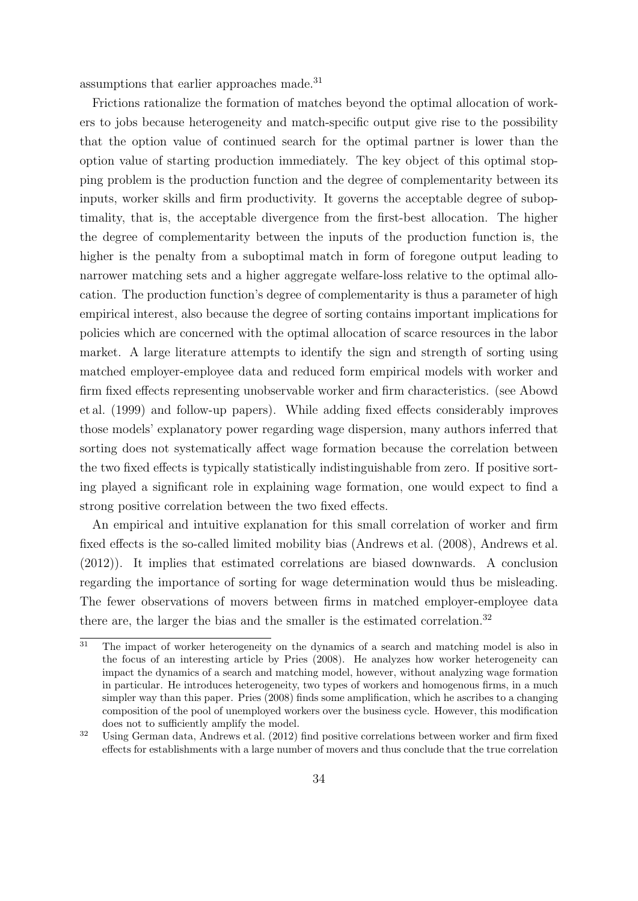assumptions that earlier approaches made.[31](#page-33-0)

Frictions rationalize the formation of matches beyond the optimal allocation of workers to jobs because heterogeneity and match-specific output give rise to the possibility that the option value of continued search for the optimal partner is lower than the option value of starting production immediately. The key object of this optimal stopping problem is the production function and the degree of complementarity between its inputs, worker skills and firm productivity. It governs the acceptable degree of suboptimality, that is, the acceptable divergence from the first-best allocation. The higher the degree of complementarity between the inputs of the production function is, the higher is the penalty from a suboptimal match in form of foregone output leading to narrower matching sets and a higher aggregate welfare-loss relative to the optimal allocation. The production function's degree of complementarity is thus a parameter of high empirical interest, also because the degree of sorting contains important implications for policies which are concerned with the optimal allocation of scarce resources in the labor market. A large literature attempts to identify the sign and strength of sorting using matched employer-employee data and reduced form empirical models with worker and firm fixed effects representing unobservable worker and firm characteristics. (see [Abowd](#page-38-5) [et al.](#page-38-5) [\(1999\)](#page-38-5) and follow-up papers). While adding fixed effects considerably improves those models' explanatory power regarding wage dispersion, many authors inferred that sorting does not systematically affect wage formation because the correlation between the two fixed effects is typically statistically indistinguishable from zero. If positive sorting played a significant role in explaining wage formation, one would expect to find a strong positive correlation between the two fixed effects.

An empirical and intuitive explanation for this small correlation of worker and firm fixed effects is the so-called limited mobility bias [\(Andrews et al.](#page-38-0) [\(2008\)](#page-38-0), [Andrews et al.](#page-38-6) [\(2012\)](#page-38-6)). It implies that estimated correlations are biased downwards. A conclusion regarding the importance of sorting for wage determination would thus be misleading. The fewer observations of movers between firms in matched employer-employee data there are, the larger the bias and the smaller is the estimated correlation.<sup>[32](#page-33-1)</sup>

<span id="page-33-0"></span> $31$  The impact of worker heterogeneity on the dynamics of a search and matching model is also in the focus of an interesting article by [Pries](#page-42-7) [\(2008\)](#page-42-7). He analyzes how worker heterogeneity can impact the dynamics of a search and matching model, however, without analyzing wage formation in particular. He introduces heterogeneity, two types of workers and homogenous firms, in a much simpler way than this paper. [Pries](#page-42-7) [\(2008\)](#page-42-7) finds some amplification, which he ascribes to a changing composition of the pool of unemployed workers over the business cycle. However, this modification does not to sufficiently amplify the model.

<span id="page-33-1"></span> $32$  Using German data, [Andrews et al.](#page-38-6) [\(2012\)](#page-38-6) find positive correlations between worker and firm fixed effects for establishments with a large number of movers and thus conclude that the true correlation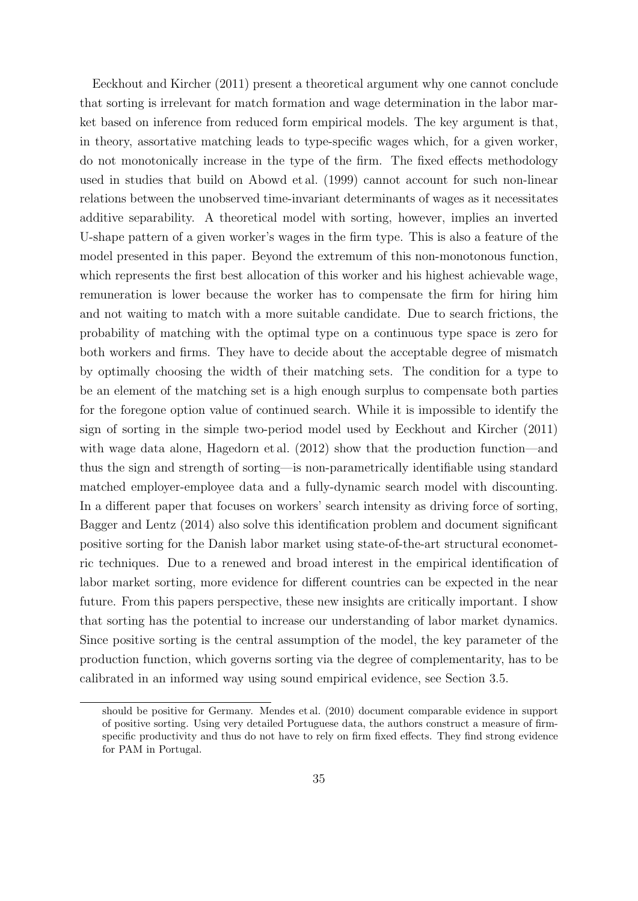[Eeckhout and Kircher](#page-39-1) [\(2011\)](#page-39-1) present a theoretical argument why one cannot conclude that sorting is irrelevant for match formation and wage determination in the labor market based on inference from reduced form empirical models. The key argument is that, in theory, assortative matching leads to type-specific wages which, for a given worker, do not monotonically increase in the type of the firm. The fixed effects methodology used in studies that build on [Abowd et al.](#page-38-5) [\(1999\)](#page-38-5) cannot account for such non-linear relations between the unobserved time-invariant determinants of wages as it necessitates additive separability. A theoretical model with sorting, however, implies an inverted U-shape pattern of a given worker's wages in the firm type. This is also a feature of the model presented in this paper. Beyond the extremum of this non-monotonous function, which represents the first best allocation of this worker and his highest achievable wage, remuneration is lower because the worker has to compensate the firm for hiring him and not waiting to match with a more suitable candidate. Due to search frictions, the probability of matching with the optimal type on a continuous type space is zero for both workers and firms. They have to decide about the acceptable degree of mismatch by optimally choosing the width of their matching sets. The condition for a type to be an element of the matching set is a high enough surplus to compensate both parties for the foregone option value of continued search. While it is impossible to identify the sign of sorting in the simple two-period model used by [Eeckhout and Kircher](#page-39-1) [\(2011\)](#page-39-1) with wage data alone, [Hagedorn et al.](#page-40-4)  $(2012)$  show that the production function—and thus the sign and strength of sorting—is non-parametrically identifiable using standard matched employer-employee data and a fully-dynamic search model with discounting. In a different paper that focuses on workers' search intensity as driving force of sorting, [Bagger and Lentz](#page-38-2) [\(2014\)](#page-38-2) also solve this identification problem and document significant positive sorting for the Danish labor market using state-of-the-art structural econometric techniques. Due to a renewed and broad interest in the empirical identification of labor market sorting, more evidence for different countries can be expected in the near future. From this papers perspective, these new insights are critically important. I show that sorting has the potential to increase our understanding of labor market dynamics. Since positive sorting is the central assumption of the model, the key parameter of the production function, which governs sorting via the degree of complementarity, has to be calibrated in an informed way using sound empirical evidence, see Section [3.5.](#page-29-0)

should be positive for Germany. [Mendes et al.](#page-41-9) [\(2010\)](#page-41-9) document comparable evidence in support of positive sorting. Using very detailed Portuguese data, the authors construct a measure of firmspecific productivity and thus do not have to rely on firm fixed effects. They find strong evidence for PAM in Portugal.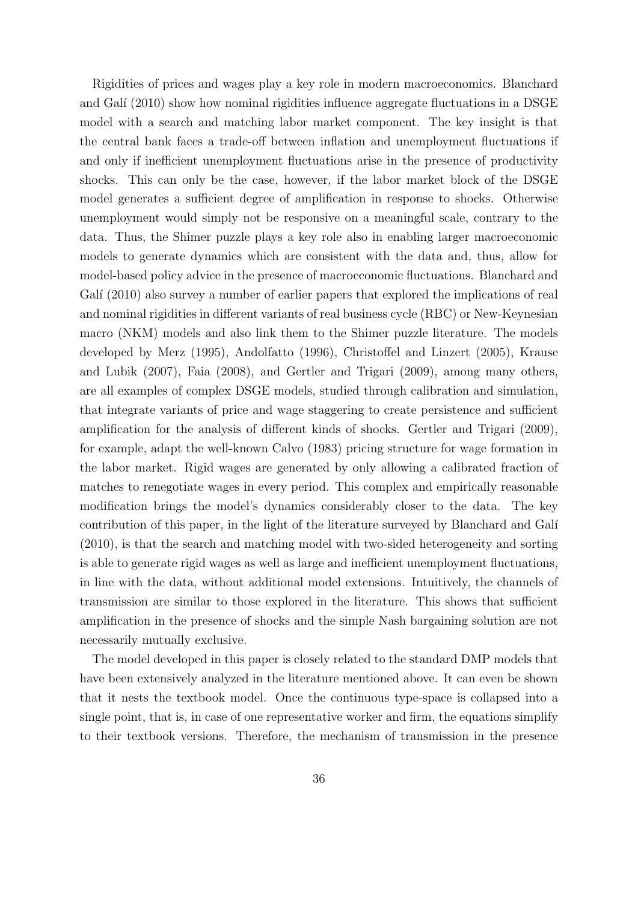Rigidities of prices and wages play a key role in modern macroeconomics. [Blanchard](#page-38-7) and Galí  $(2010)$  show how nominal rigidities influence aggregate fluctuations in a DSGE model with a search and matching labor market component. The key insight is that the central bank faces a trade-off between inflation and unemployment fluctuations if and only if inefficient unemployment fluctuations arise in the presence of productivity shocks. This can only be the case, however, if the labor market block of the DSGE model generates a sufficient degree of amplification in response to shocks. Otherwise unemployment would simply not be responsive on a meaningful scale, contrary to the data. Thus, the Shimer puzzle plays a key role also in enabling larger macroeconomic models to generate dynamics which are consistent with the data and, thus, allow for model-based policy advice in the presence of macroeconomic fluctuations. [Blanchard and](#page-38-7) Galí [\(2010\)](#page-38-7) also survey a number of earlier papers that explored the implications of real and nominal rigidities in different variants of real business cycle (RBC) or New-Keynesian macro (NKM) models and also link them to the Shimer puzzle literature. The models developed by [Merz](#page-41-10) [\(1995\)](#page-41-10), [Andolfatto](#page-38-8) [\(1996\)](#page-38-8), [Christoffel and Linzert](#page-39-6) [\(2005\)](#page-39-6), [Krause](#page-40-7) [and Lubik](#page-40-7) [\(2007\)](#page-40-7), [Faia](#page-39-7) [\(2008\)](#page-39-7), and [Gertler and Trigari](#page-40-8) [\(2009\)](#page-40-8), among many others, are all examples of complex DSGE models, studied through calibration and simulation, that integrate variants of price and wage staggering to create persistence and sufficient amplification for the analysis of different kinds of shocks. [Gertler and Trigari](#page-40-8) [\(2009\)](#page-40-8), for example, adapt the well-known [Calvo](#page-39-8) [\(1983\)](#page-39-8) pricing structure for wage formation in the labor market. Rigid wages are generated by only allowing a calibrated fraction of matches to renegotiate wages in every period. This complex and empirically reasonable modification brings the model's dynamics considerably closer to the data. The key contribution of this paper, in the light of the literature surveyed by Blanchard and Galí [\(2010\)](#page-38-7), is that the search and matching model with two-sided heterogeneity and sorting is able to generate rigid wages as well as large and inefficient unemployment fluctuations, in line with the data, without additional model extensions. Intuitively, the channels of transmission are similar to those explored in the literature. This shows that sufficient amplification in the presence of shocks and the simple Nash bargaining solution are not necessarily mutually exclusive.

The model developed in this paper is closely related to the standard DMP models that have been extensively analyzed in the literature mentioned above. It can even be shown that it nests the textbook model. Once the continuous type-space is collapsed into a single point, that is, in case of one representative worker and firm, the equations simplify to their textbook versions. Therefore, the mechanism of transmission in the presence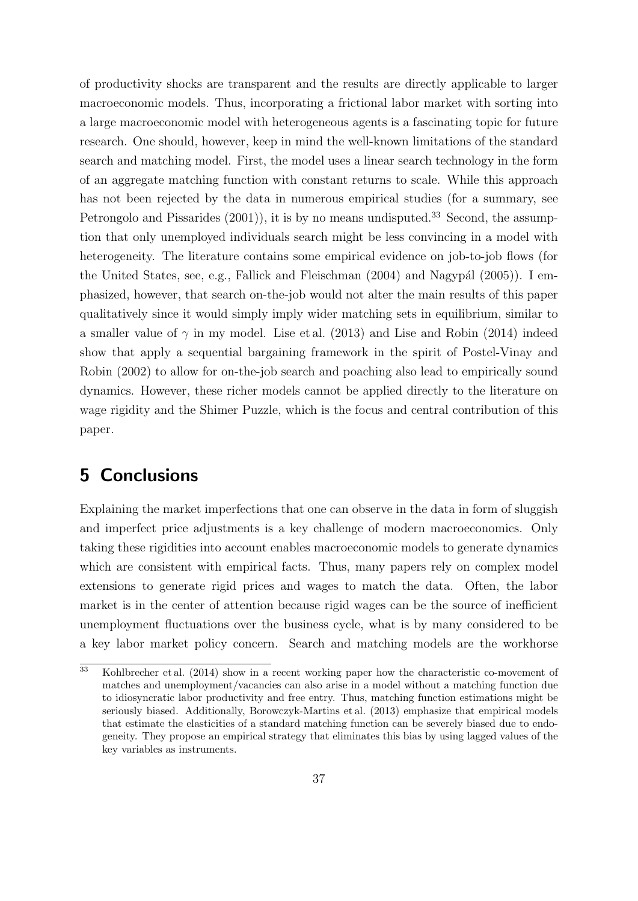of productivity shocks are transparent and the results are directly applicable to larger macroeconomic models. Thus, incorporating a frictional labor market with sorting into a large macroeconomic model with heterogeneous agents is a fascinating topic for future research. One should, however, keep in mind the well-known limitations of the standard search and matching model. First, the model uses a linear search technology in the form of an aggregate matching function with constant returns to scale. While this approach has not been rejected by the data in numerous empirical studies (for a summary, see [Petrongolo and Pissarides](#page-41-7)  $(2001)$ , it is by no means undisputed.<sup>[33](#page-36-1)</sup> Second, the assumption that only unemployed individuals search might be less convincing in a model with heterogeneity. The literature contains some empirical evidence on job-to-job flows (for the United States, see, e.g., [Fallick and Fleischman](#page-39-9)  $(2004)$  and Nagypál  $(2005)$ ). I emphasized, however, that search on-the-job would not alter the main results of this paper qualitatively since it would simply imply wider matching sets in equilibrium, similar to a smaller value of  $\gamma$  in my model. [Lise et al.](#page-41-5) [\(2013\)](#page-41-5) and [Lise and Robin](#page-41-1) [\(2014\)](#page-41-1) indeed show that apply a sequential bargaining framework in the spirit of [Postel-Vinay and](#page-41-2) [Robin](#page-41-2) [\(2002\)](#page-41-2) to allow for on-the-job search and poaching also lead to empirically sound dynamics. However, these richer models cannot be applied directly to the literature on wage rigidity and the Shimer Puzzle, which is the focus and central contribution of this paper.

# <span id="page-36-0"></span>5 Conclusions

Explaining the market imperfections that one can observe in the data in form of sluggish and imperfect price adjustments is a key challenge of modern macroeconomics. Only taking these rigidities into account enables macroeconomic models to generate dynamics which are consistent with empirical facts. Thus, many papers rely on complex model extensions to generate rigid prices and wages to match the data. Often, the labor market is in the center of attention because rigid wages can be the source of inefficient unemployment fluctuations over the business cycle, what is by many considered to be a key labor market policy concern. Search and matching models are the workhorse

<span id="page-36-1"></span><sup>33</sup> [Kohlbrecher et al.](#page-40-9) [\(2014\)](#page-40-9) show in a recent working paper how the characteristic co-movement of matches and unemployment/vacancies can also arise in a model without a matching function due to idiosyncratic labor productivity and free entry. Thus, matching function estimations might be seriously biased. Additionally, [Borowczyk-Martins et al.](#page-39-10) [\(2013\)](#page-39-10) emphasize that empirical models that estimate the elasticities of a standard matching function can be severely biased due to endogeneity. They propose an empirical strategy that eliminates this bias by using lagged values of the key variables as instruments.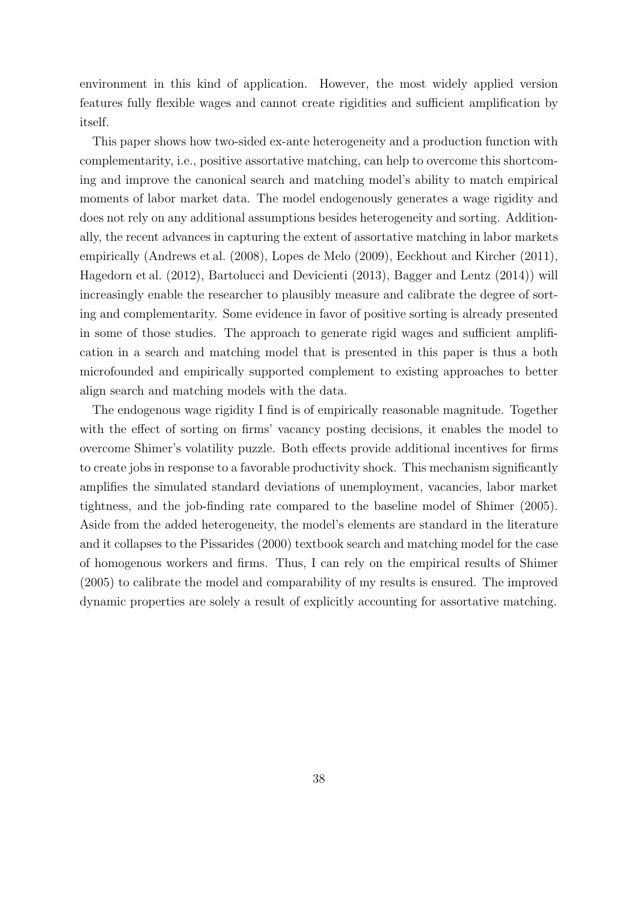environment in this kind of application. However, the most widely applied version features fully flexible wages and cannot create rigidities and sufficient amplification by itself.

This paper shows how two-sided ex-ante heterogeneity and a production function with complementarity, i.e., positive assortative matching, can help to overcome this shortcoming and improve the canonical search and matching model's ability to match empirical moments of labor market data. The model endogenously generates a wage rigidity and does not rely on any additional assumptions besides heterogeneity and sorting. Additionally, the recent advances in capturing the extent of assortative matching in labor markets empirically [\(Andrews et al.](#page-38-0) [\(2008\)](#page-38-0), [Lopes de Melo](#page-41-0) [\(2009\)](#page-41-0), [Eeckhout and Kircher](#page-39-1) [\(2011\)](#page-39-1), [Hagedorn et al.](#page-40-4) [\(2012\)](#page-40-4), [Bartolucci and Devicienti](#page-38-1) [\(2013\)](#page-38-1), [Bagger and Lentz](#page-38-2) [\(2014\)](#page-38-2)) will increasingly enable the researcher to plausibly measure and calibrate the degree of sorting and complementarity. Some evidence in favor of positive sorting is already presented in some of those studies. The approach to generate rigid wages and sufficient amplification in a search and matching model that is presented in this paper is thus a both microfounded and empirically supported complement to existing approaches to better align search and matching models with the data.

The endogenous wage rigidity I find is of empirically reasonable magnitude. Together with the effect of sorting on firms' vacancy posting decisions, it enables the model to overcome Shimer's volatility puzzle. Both effects provide additional incentives for firms to create jobs in response to a favorable productivity shock. This mechanism significantly amplifies the simulated standard deviations of unemployment, vacancies, labor market tightness, and the job-finding rate compared to the baseline model of [Shimer](#page-42-0) [\(2005\)](#page-42-0). Aside from the added heterogeneity, the model's elements are standard in the literature and it collapses to the [Pissarides](#page-41-4) [\(2000\)](#page-41-4) textbook search and matching model for the case of homogenous workers and firms. Thus, I can rely on the empirical results of [Shimer](#page-42-0) [\(2005\)](#page-42-0) to calibrate the model and comparability of my results is ensured. The improved dynamic properties are solely a result of explicitly accounting for assortative matching.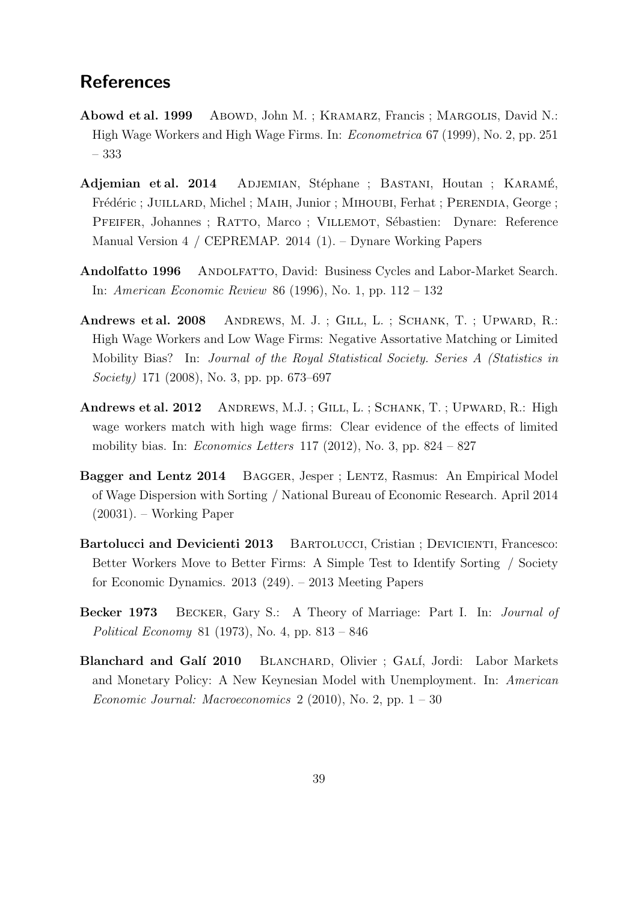## **References**

- <span id="page-38-5"></span>Abowd et al. 1999 Abowd, John M.; KRAMARZ, Francis; MARGOLIS, David N.: High Wage Workers and High Wage Firms. In: Econometrica 67 (1999), No. 2, pp. 251 – 333
- <span id="page-38-4"></span>Adjemian et al. 2014 ADJEMIAN, Stéphane ; BASTANI, Houtan ; KARAMÉ, Frédéric ; JUILLARD, Michel ; MAIH, Junior ; MIHOUBI, Ferhat ; PERENDIA, George ; PFEIFER, Johannes ; RATTO, Marco ; VILLEMOT, Sébastien: Dynare: Reference Manual Version 4 / CEPREMAP. 2014 (1). – Dynare Working Papers
- <span id="page-38-8"></span>Andolfatto 1996 ANDOLFATTO, David: Business Cycles and Labor-Market Search. In: American Economic Review 86 (1996), No. 1, pp. 112 – 132
- <span id="page-38-0"></span>Andrews et al. 2008 ANDREWS, M. J.; GILL, L.; SCHANK, T.; UPWARD, R.: High Wage Workers and Low Wage Firms: Negative Assortative Matching or Limited Mobility Bias? In: Journal of the Royal Statistical Society. Series A (Statistics in Society) 171 (2008), No. 3, pp. pp. 673–697
- <span id="page-38-6"></span>Andrews et al. 2012 ANDREWS, M.J.; GILL, L.; SCHANK, T.; UPWARD, R.: High wage workers match with high wage firms: Clear evidence of the effects of limited mobility bias. In: *Economics Letters* 117 (2012), No. 3, pp.  $824 - 827$
- <span id="page-38-2"></span>Bagger and Lentz 2014 BAGGER, Jesper; LENTZ, Rasmus: An Empirical Model of Wage Dispersion with Sorting / National Bureau of Economic Research. April 2014 (20031). – Working Paper
- <span id="page-38-1"></span>Bartolucci and Devicienti 2013 BARTOLUCCI, Cristian ; DEVICIENTI, Francesco: Better Workers Move to Better Firms: A Simple Test to Identify Sorting / Society for Economic Dynamics. 2013 (249). – 2013 Meeting Papers
- <span id="page-38-3"></span>Becker 1973 Becker, Gary S.: A Theory of Marriage: Part I. In: Journal of Political Economy 81 (1973), No. 4, pp. 813 – 846
- <span id="page-38-7"></span>Blanchard and Galí 2010 BLANCHARD, Olivier ; GALÍ, Jordi: Labor Markets and Monetary Policy: A New Keynesian Model with Unemployment. In: American Economic Journal: Macroeconomics  $2(2010)$ , No. 2, pp.  $1-30$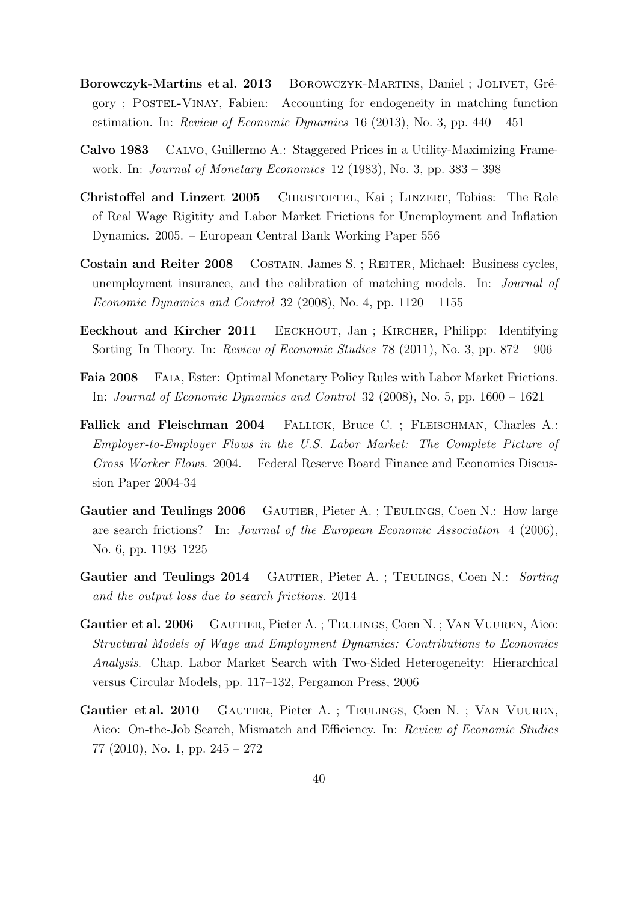- <span id="page-39-10"></span>Borowczyk-Martins et al. 2013 BOROWCZYK-MARTINS, Daniel ; JOLIVET, Grégory ; Postel-Vinay, Fabien: Accounting for endogeneity in matching function estimation. In: Review of Economic Dynamics 16 (2013), No. 3, pp.  $440 - 451$
- <span id="page-39-8"></span>Calvo 1983 Calvo, Guillermo A.: Staggered Prices in a Utility-Maximizing Framework. In: Journal of Monetary Economics 12 (1983), No. 3, pp. 383 – 398
- <span id="page-39-6"></span>Christoffel and Linzert 2005 Christoffel, Kai ; Linzert, Tobias: The Role of Real Wage Rigitity and Labor Market Frictions for Unemployment and Inflation Dynamics. 2005. – European Central Bank Working Paper 556
- <span id="page-39-5"></span>Costain and Reiter 2008 COSTAIN, James S. ; REITER, Michael: Business cycles, unemployment insurance, and the calibration of matching models. In: Journal of Economic Dynamics and Control 32 (2008), No. 4, pp.  $1120 - 1155$
- <span id="page-39-1"></span>Eeckhout and Kircher 2011 Eeckhout, Jan ; Kircher, Philipp: Identifying Sorting–In Theory. In: Review of Economic Studies 78 (2011), No. 3, pp. 872 – 906
- <span id="page-39-7"></span>Faia 2008 Faia, Ester: Optimal Monetary Policy Rules with Labor Market Frictions. In: Journal of Economic Dynamics and Control 32 (2008), No. 5, pp. 1600 – 1621
- <span id="page-39-9"></span>Fallick and Fleischman 2004 FALLICK, Bruce C. ; FLEISCHMAN, Charles A.: Employer-to-Employer Flows in the U.S. Labor Market: The Complete Picture of Gross Worker Flows. 2004. – Federal Reserve Board Finance and Economics Discussion Paper 2004-34
- <span id="page-39-0"></span>Gautier and Teulings 2006 GAUTIER, Pieter A. ; TEULINGS, Coen N.: How large are search frictions? In: Journal of the European Economic Association 4 (2006), No. 6, pp. 1193–1225
- <span id="page-39-3"></span>Gautier and Teulings 2014 GAUTIER, Pieter A.; TEULINGS, Coen N.: Sorting and the output loss due to search frictions. 2014
- <span id="page-39-4"></span>Gautier et al. 2006 Gautier, Pieter A. ; Teulings, Coen N. ; Van Vuuren, Aico: Structural Models of Wage and Employment Dynamics: Contributions to Economics Analysis. Chap. Labor Market Search with Two-Sided Heterogeneity: Hierarchical versus Circular Models, pp. 117–132, Pergamon Press, 2006
- <span id="page-39-2"></span>Gautier et al. 2010 GAUTIER, Pieter A. ; TEULINGS, Coen N. ; VAN VUUREN, Aico: On-the-Job Search, Mismatch and Efficiency. In: Review of Economic Studies 77 (2010), No. 1, pp. 245 – 272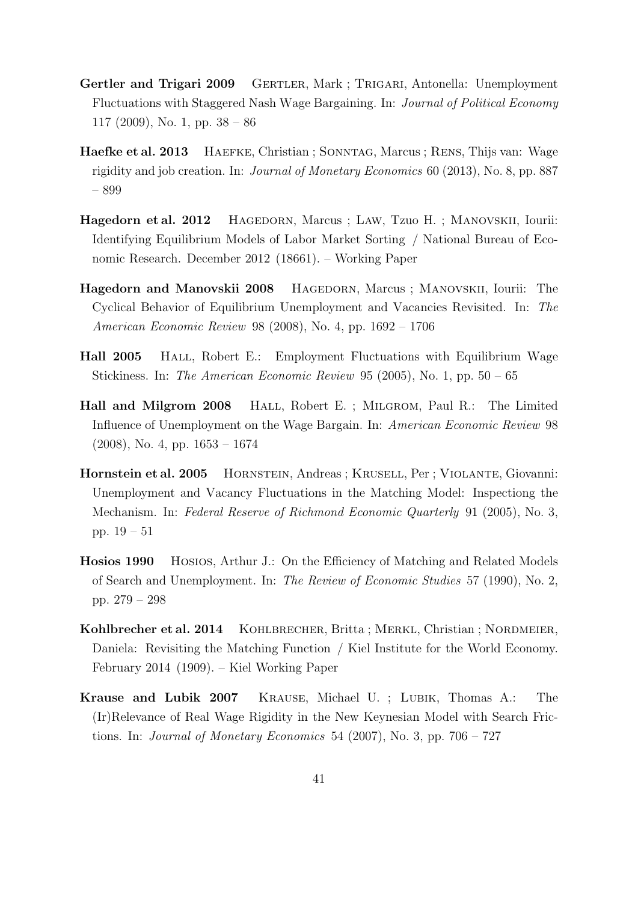- <span id="page-40-8"></span>Gertler and Trigari 2009 GERTLER, Mark ; TRIGARI, Antonella: Unemployment Fluctuations with Staggered Nash Wage Bargaining. In: Journal of Political Economy 117 (2009), No. 1, pp. 38 – 86
- <span id="page-40-5"></span>Haefke et al. 2013 HAEFKE, Christian ; SONNTAG, Marcus ; RENS, Thijs van: Wage rigidity and job creation. In: Journal of Monetary Economics 60 (2013), No. 8, pp. 887 – 899
- <span id="page-40-4"></span>Hagedorn et al. 2012 Hagedorn, Marcus ; Law, Tzuo H. ; Manovskii, Iourii: Identifying Equilibrium Models of Labor Market Sorting / National Bureau of Economic Research. December 2012 (18661). – Working Paper
- <span id="page-40-1"></span>Hagedorn and Manovskii 2008 Hagedorn, Marcus ; Manovskii, Iourii: The Cyclical Behavior of Equilibrium Unemployment and Vacancies Revisited. In: The American Economic Review 98 (2008), No. 4, pp. 1692 – 1706
- <span id="page-40-0"></span>Hall 2005 Hall, Robert E.: Employment Fluctuations with Equilibrium Wage Stickiness. In: The American Economic Review 95 (2005), No. 1, pp.  $50 - 65$
- <span id="page-40-2"></span>Hall and Milgrom 2008 Hall, Robert E. ; Milgrom, Paul R.: The Limited Influence of Unemployment on the Wage Bargain. In: American Economic Review 98 (2008), No. 4, pp. 1653 – 1674
- <span id="page-40-3"></span>Hornstein et al. 2005 HORNSTEIN, Andreas ; KRUSELL, Per ; VIOLANTE, Giovanni: Unemployment and Vacancy Fluctuations in the Matching Model: Inspectiong the Mechanism. In: Federal Reserve of Richmond Economic Quarterly 91 (2005), No. 3, pp. 19 – 51
- <span id="page-40-6"></span>Hosios 1990 Hosios, Arthur J.: On the Efficiency of Matching and Related Models of Search and Unemployment. In: The Review of Economic Studies 57 (1990), No. 2, pp. 279 – 298
- <span id="page-40-9"></span>Kohlbrecher et al. 2014 KOHLBRECHER, Britta ; MERKL, Christian ; NORDMEIER, Daniela: Revisiting the Matching Function / Kiel Institute for the World Economy. February 2014 (1909). – Kiel Working Paper
- <span id="page-40-7"></span>Krause and Lubik 2007 Krause, Michael U. ; Lubik, Thomas A.: The (Ir)Relevance of Real Wage Rigidity in the New Keynesian Model with Search Frictions. In: Journal of Monetary Economics 54 (2007), No. 3, pp.  $706 - 727$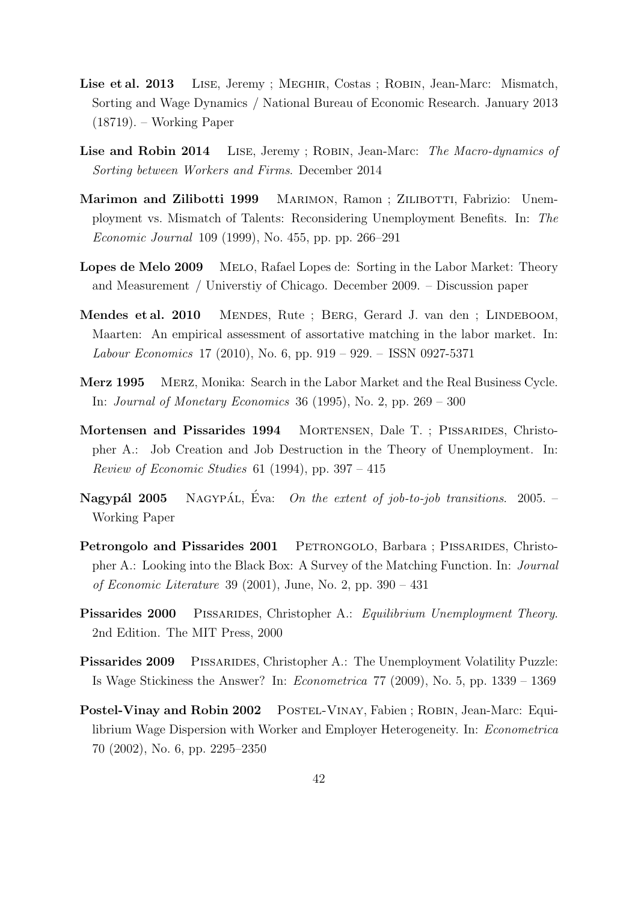- <span id="page-41-5"></span>Lise et al. 2013 LISE, Jeremy ; MEGHIR, Costas ; ROBIN, Jean-Marc: Mismatch, Sorting and Wage Dynamics / National Bureau of Economic Research. January 2013 (18719). – Working Paper
- <span id="page-41-1"></span>Lise and Robin 2014 LISE, Jeremy ; ROBIN, Jean-Marc: The Macro-dynamics of Sorting between Workers and Firms. December 2014
- <span id="page-41-6"></span>Marimon and Zilibotti 1999 MARIMON, Ramon; ZILIBOTTI, Fabrizio: Unemployment vs. Mismatch of Talents: Reconsidering Unemployment Benefits. In: The Economic Journal 109 (1999), No. 455, pp. pp. 266–291
- <span id="page-41-0"></span>Lopes de Melo 2009 Melo, Rafael Lopes de: Sorting in the Labor Market: Theory and Measurement / Universtiy of Chicago. December 2009. – Discussion paper
- <span id="page-41-9"></span>Mendes et al. 2010 MENDES, Rute ; BERG, Gerard J. van den ; LINDEBOOM, Maarten: An empirical assessment of assortative matching in the labor market. In: Labour Economics 17 (2010), No. 6, pp. 919 – 929. – ISSN 0927-5371
- <span id="page-41-10"></span>Merz 1995 Merz, Monika: Search in the Labor Market and the Real Business Cycle. In: Journal of Monetary Economics 36 (1995), No. 2, pp. 269 – 300
- <span id="page-41-3"></span>Mortensen and Pissarides 1994 Mortensen, Dale T. ; Pissarides, Christopher A.: Job Creation and Job Destruction in the Theory of Unemployment. In: *Review of Economic Studies* 61 (1994), pp.  $397 - 415$
- <span id="page-41-11"></span>**Nagypál 2005** NAGYPÁL, Éva: On the extent of job-to-job transitions. 2005. – Working Paper
- <span id="page-41-7"></span>Petrongolo and Pissarides 2001 PETRONGOLO, Barbara ; PISSARIDES, Christopher A.: Looking into the Black Box: A Survey of the Matching Function. In: Journal *of Economic Literature* 39 (2001), June, No. 2, pp.  $390 - 431$
- <span id="page-41-4"></span>Pissarides 2000 PISSARIDES, Christopher A.: Equilibrium Unemployment Theory. 2nd Edition. The MIT Press, 2000
- <span id="page-41-8"></span>Pissarides 2009 PISSARIDES, Christopher A.: The Unemployment Volatility Puzzle: Is Wage Stickiness the Answer? In: Econometrica 77 (2009), No. 5, pp. 1339 – 1369
- <span id="page-41-2"></span>Postel-Vinay and Robin 2002 POSTEL-VINAY, Fabien ; ROBIN, Jean-Marc: Equilibrium Wage Dispersion with Worker and Employer Heterogeneity. In: Econometrica 70 (2002), No. 6, pp. 2295–2350